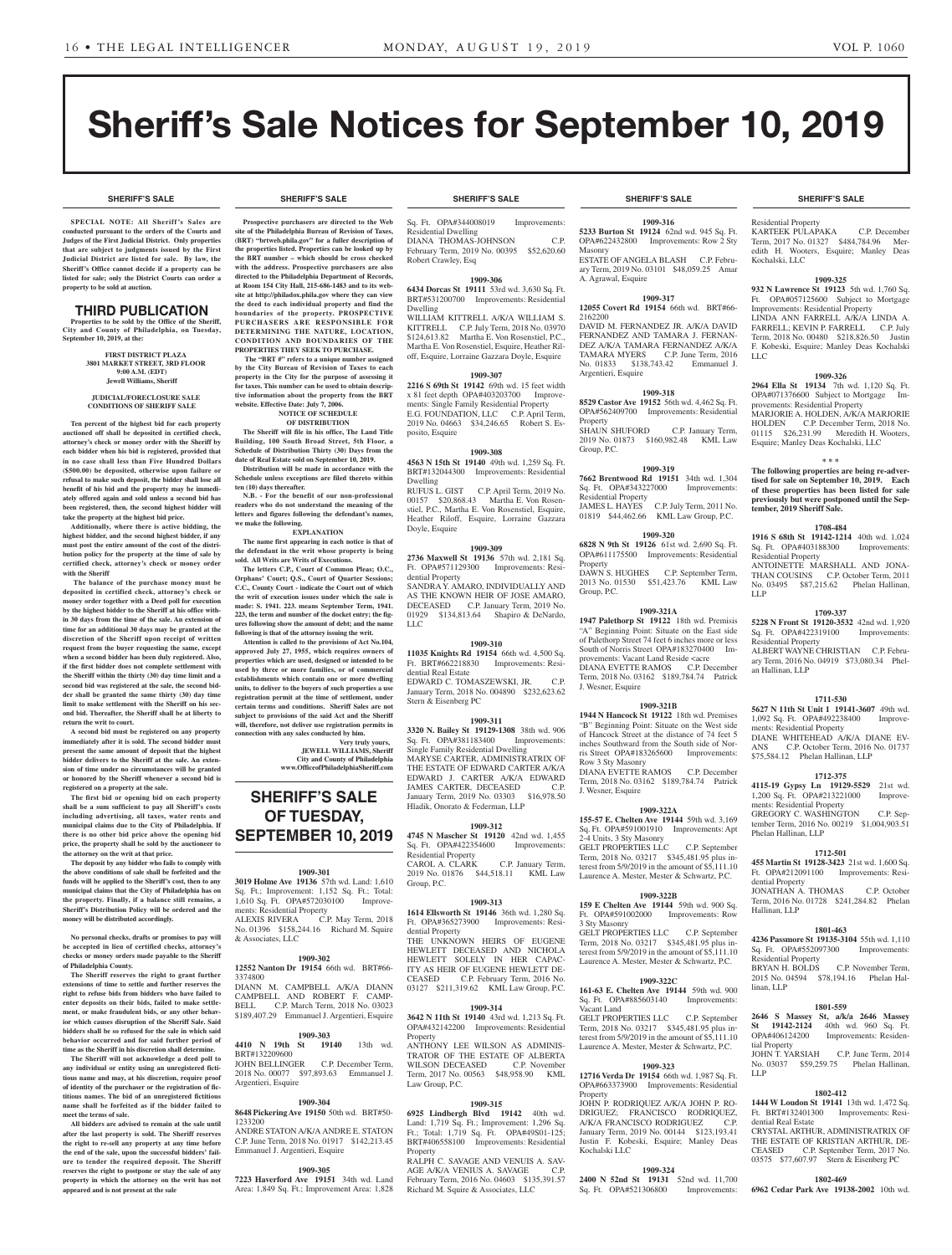**SHERIFF'S SALE SHERIFF'S SALE SHERIFF'S SALE SHERIFF'S SALE SHERIFF'S SALE**

# Sheriff's Sale Notices for September 10, 2019

**SPECIAL NOTE: All Sheriff 's Sales are conducted pursuant to the orders of the Courts and Judges of the First Judicial District. Only properties that are subject to judgments issued by the First Judicial District are listed for sale. By law, the Sheriff's Office cannot decide if a property can be listed for sale; only the District Courts can order a property to be sold at auction.** 

# THIRD PUBLICATION

**Properties to be sold by the Office of the Sheriff, City and County of Philadelphia, on Tuesday, September 10, 2019, at the:** 

#### **FIRST DISTRICT PLAZA 3801 MARKET STREET, 3RD FLOOR 9:00 A.M. (EDT) Jewell Williams, Sheriff**

#### **JUDICIAL/FORECLOSURE SALE CONDITIONS OF SHERIFF SALE**

**Ten percent of the highest bid for each property auctioned off shall be deposited in certified check, attorney's check or money order with the Sheriff by each bidder when his bid is registered, provided that in no case shall less than Five Hundred Dollars (\$500.00) be deposited, otherwise upon failure or refusal to make such deposit, the bidder shall lose all benefit of his bid and the property may be immediately offered again and sold unless a second bid has been registered, then, the second highest bidder will take the property at the highest bid price.**

**Additionally, where there is active bidding, the highest bidder, and the second highest bidder, if any must post the entire amount of the cost of the distribution policy for the property at the time of sale by certified check, attorney's check or money order with the Sheriff**

 **The balance of the purchase money must be deposited in certified check, attorney's check or money order together with a Deed poll for execution by the highest bidder to the Sheriff at his office within 30 days from the time of the sale. An extension of time for an additional 30 days may be granted at the discretion of the Sheriff upon receipt of written request from the buyer requesting the same, except when a second bidder has been duly registered. Also, if the first bidder does not complete settlement with the Sheriff within the thirty (30) day time limit and a second bid was registered at the sale, the second bidder shall be granted the same thirty (30) day time limit to make settlement with the Sheriff on his second bid. Thereafter, the Sheriff shall be at liberty to return the writ to court.**

**A second bid must be registered on any property immediately after it is sold. The second bidder must present the same amount of deposit that the highest bidder delivers to the Sheriff at the sale. An extension of time under no circumstances will be granted or honored by the Sheriff whenever a second bid is registered on a property at the sale.** 

**The first bid or opening bid on each property shall be a sum sufficient to pay all Sheriff's costs including advertising, all taxes, water rents and municipal claims due to the City of Philadelphia. If there is no other bid price above the opening bid price, the property shall be sold by the auctioneer to the attorney on the writ at that price.**

**The deposit by any bidder who fails to comply with the above conditions of sale shall be forfeited and the funds will be applied to the Sheriff's cost, then to any municipal claims that the City of Philadelphia has on the property. Finally, if a balance still remains, a Sheriff's Distribution Policy will be ordered and the money will be distributed accordingly.**

**No personal checks, drafts or promises to pay will be accepted in lieu of certified checks, attorney's checks or money orders made payable to the Sheriff of Philadelphia County.**

**The Sheriff reserves the right to grant further extensions of time to settle and further reserves the right to refuse bids from bidders who have failed to enter deposits on their bids, failed to make settlement, or make fraudulent bids, or any other behavior which causes disruption of the Sheriff Sale. Said bidders shall be so refused for the sale in which said behavior occurred and for said further period of time as the Sheriff in his discretion shall determine.**

**The Sheriff will not acknowledge a deed poll to any individual or entity using an unregistered fictitious name and may, at his discretion, require proof of identity of the purchaser or the registration of fictitious names. The bid of an unregistered fictitious name shall be forfeited as if the bidder failed to meet the terms of sale.**

**All bidders are advised to remain at the sale until after the last property is sold. The Sheriff reserves the right to re-sell any property at any time before the end of the sale, upon the successful bidders' failure to tender the required deposit. The Sheriff reserves the right to postpone or stay the sale of any property in which the attorney on the writ has not appeared and is not present at the sale**

**Prospective purchasers are directed to the Web site of the Philadelphia Bureau of Revision of Taxes, (BRT) "brtweb.phila.gov" for a fuller description of the properties listed. Properties can be looked up by the BRT number – which should be cross checked with the address. Prospective purchasers are also directed to the Philadelphia Department of Records, at Room 154 City Hall, 215-686-1483 and to its website at http://philadox.phila.gov where they can view the deed to each individual property and find the boundaries of the property. PROSPECTIVE PURCHASERS ARE RESPONSIBLE FOR DETERMINING THE NATURE, LOCATION, CONDITION AND BOUNDARIES OF THE PROPERTIES THEY SEEK TO PURCHASE.**

 **The "BRT #" refers to a unique number assigned by the City Bureau of Revision of Taxes to each property in the City for the purpose of assessing it for taxes. This number can be used to obtain descriptive information about the property from the BRT**  website. Effective Date: July 7, 20 **NOTICE OF SCHEDULE** 

# **OF DISTRIBUTION**

**The Sheriff will file in his office, The Land Title Building, 100 South Broad Street, 5th Floor, a Schedule of Distribution Thirty (30) Days from the date of Real Estate sold on September 10, 2019.**

**Distribution will be made in accordance with the Schedule unless exceptions are filed thereto within ten (10) days thereafter. N.B. - For the benefit of our non-professional** 

**readers who do not understand the meaning of the letters and figures following the defendant's names, we make the following. EXPLANATION**

**The name first appearing in each notice is that of the defendant in the writ whose property is being** 

**sold. All Writs are Writs of Executions. The letters C.P., Court of Common Pleas; O.C., Orphans' Court; Q.S., Court of Quarter Sessions; C.C., County Court - indicate the Court out of which the writ of execution issues under which the sale is made: S. 1941. 223. means September Term, 1941. 223, the term and number of the docket entry; the figures following show the amount of debt; and the name following is that of the attorney issuing the writ.**

**Attention is called to the provisions of Act No.104, approved July 27, 1955, which requires owners of properties which are used, designed or intended to be used by three or more families, or of commercial establishments which contain one or more dwelling units, to deliver to the buyers of such properties a use registration permit at the time of settlement, under certain terms and conditions. Sheriff Sales are not subject to provisions of the said Act and the Sheriff will, therefore, not deliver use registration permits in connection with any sales conducted by him.**

**Very truly yours, JEWELL WILLIAMS, Sheriff City and County of Philadelphia www.OfficeofPhiladelphiaSheriff.com**

**SHERIFF'S SALE** 

# **OF TUESDAY, SEPTEMBER 10, 2019**

#### **1909-301**

**3019 Holme Ave 19136** 57th wd. Land: 1,610 Sq. Ft.; Improvement: 1,152 Sq. Ft.; Total: 1,610 Sq. Ft. OPA#572030100 Improvements: Residential Property<br>ALEXIS RIVERA C.P. May Term, 2018 ALEXIS RIVERA C.P. May Term, 2018 No. 01396 \$158,244.16 Richard M. Squire & Associates, LLC

#### **1909-302**

**12552 Nanton Dr 19154** 66th wd. BRT#66- 3374800

DIANN M. CAMPBELL A/K/A DIANN CAMPBELL AND ROBERT F. CAMP-BELL C.P. March Term, 2018 No. 03023 \$189,407.29 Emmanuel J. Argentieri, Esquire

#### **1909-303**<br>St **19140** 13th **4410 N 19th**

BRT#132209600 JOHN BELLINGER C.P. December Term, 2018 No. 00077 \$97,893.63 Emmanuel J. Argentieri, Esquire

# **1909-304**

**8648 Pickering Ave 19150** 50th wd. BRT#50- 1233200 ANDRE STATON A/K/A ANDRE E. STATON C.P. June Term, 2018 No. 01917 \$142,213.45 Emmanuel J. Argentieri, Esquire

#### **1909-305**

**7223 Haverford Ave 19151** 34th wd. Land Area: 1,849 Sq. Ft.; Improvement Area: 1,828

Sq. Ft. OPA#344008019 Improvements: Residential Dwelling DIANA THOMAS-JOHNSON C.P. February Term, 2019 No. 00395 \$52,620.60 Robert Crawley, Esq

#### **1909-306**

**6434 Dorcas St 19111** 53rd wd. 3,630 Sq. Ft. BRT#531200700 Improvements: Residential Dwelling WILLIAM KITTRELL A/K/A WILLIAM S.

KITTRELL C.P. July Term, 2018 No. 03970 \$124,613.82 Martha E. Von Rosenstiel, P.C., Martha E. Von Rosenstiel, Esquire, Heather Riloff, Esquire, Lorraine Gazzara Doyle, Esquire

#### **1909-307**

**2216 S 69th St 19142** 69th wd. 15 feet width x 81 feet depth OPA#403203700 Improvements: Single Family Residential Property E.G. FOUNDATION, LLC C.P. April Term, 2019 No. 04663 \$34,246.65 Robert S. Esposito, Esquire

#### **1909-308**

**4563 N 15th St 19140** 49th wd. 1,259 Sq. Ft. BRT#132044300 Improvements: Residential Dwelling RUFUS L. GIST C.P. April Term, 2019 No. 00157 \$20,868.43 Martha E. Von Rosenstiel, P.C., Martha E. Von Rosenstiel, Esquire, Heather Riloff, Esquire, Lorraine Gazzara Doyle, Esquire

#### **1909-309**

**2736 Maxwell St 19136** 57th wd. 2,181 Sq. Ft. OPA#571129300 Improvements: Residential Property SANDRA Y. AMARO, INDIVIDUALLY AND AS THE KNOWN HEIR OF JOSE AMARO, DECEASED C.P. January Term, 2019 No. 01929 \$134,813.64 Shapiro & DeNardo, LLC

# **1909-310**

**11035 Knights Rd 19154** 66th wd. 4,500 Sq. Ft. BRT#662218830 Improvements: Residential Real Estate EDWARD C. TOMASZEWSKI, JR. C.P. January Term, 2018 No. 004890 \$232,623.62 Stern & Eisenberg PC

### **1909-311**

**3320 N. Bailey St 19129-1308** 38th wd. 906 Sq. Ft. OPA#381183400 Improvements: Single Family Residential Dwelling MARYSE CARTER, ADMINISTRATRIX OF THE ESTATE OF EDWARD CARTER A/K/A EDWARD J. CARTER A/K/A EDWARD JAMES CARTER, DECEASED C.P. January Term, 2019 No. 03303 \$16,978.50 Hladik, Onorato & Federman, LLP

#### **1909-312**

**4745 N Mascher St 19120** 42nd wd. 1,455 Sq. Ft. OPA#422354600 Improvements: Residential Property

CAROL A. CLARK C.P. January Term, 2019 No. 01876 \$44,518.11 KML Law Group, P.C.

### **1909-313**

**1614 Ellsworth St 19146** 36th wd. 1,280 Sq. Ft. OPA#365273900 Improvements: Residential Property THE UNKNOWN HEIRS OF EUGENE HEWLETT DECEASED AND NICHOLA HEWLETT SOLELY IN HER CAPAC-ITY AS HEIR OF EUGENE HEWLETT DE-

CEASED C.P. February Term, 2016 No. 03127 \$211,319.62 KML Law Group, P.C.

# **1909-314**

**3642 N 11th St 19140** 43rd wd. 1,213 Sq. Ft. OPA#432142200 Improvements: Residential Property

ANTHONY LEE WILSON AS ADMINIS-TRATOR OF THE ESTATE OF ALBERTA WILSON DECEASED C.P. November Term, 2017 No. 00563 \$48,958.90 KML Law Group, P.C.

#### **1909-315**

**6925 Lindbergh Blvd 19142** 40th wd. Land: 1,719 Sq. Ft.; Improvement: 1,296 Sq. Ft.; Total: 1,719 Sq. Ft. OPA#49S01-125; BRT#406558100 Improvements: Residential **Property** 

RALPH C. SAVAGE AND VENUIS A. SAV-AGE A/K/A VENIUS A. SAVAGE C.P. February Term, 2016 No. 04603 \$135,391.57 Richard M. Squire & Associates, LLC

**1909-316 5233 Burton St 19124** 62nd wd. 945 Sq. Ft. OPA#622432800 Improvements: Row 2 Sty Masonry ESTATE OF ANGELA BLASH C.P. February Term, 2019 No. 03101 \$48,059.25 Amar A. Agrawal, Esquire

#### **1909-317**

**12055 Covert Rd 19154** 66th wd. BRT#66- 2162200 DAVID M. FERNANDEZ JR. A/K/A DAVID FERNANDEZ AND TAMARA J. FERNAN-DEZ A/K/A TAMARA FERNANDEZ A/K/A TAMARA MYERS C.P. June Term, 2016 No. 01833 \$138,743.42 Emmanuel J. Argentieri, Esquire

#### **1909-318**

**8529 Castor Ave 19152** 56th wd. 4,462 Sq. Ft. OPA#562409700 Improvements: Residential Property SHAUN SHUFORD C.P. January Term, 2019 No. 01873 \$160,982.48 KML Law Group, P.C.

# **1909-319**

**7662 Brentwood Rd 19151** 34th wd. 1,304<br>Sq. Ft. OPA#343227000 Improvements: Sq. Ft. OPA#343227000 Residential Property JAMES L. HAYES C.P. July Term, 2011 No.<br>01819 \$44.462.66 KML Law Group, P.C. KML Law Group, P.C.

#### **1909-320**

**6828 N 9th St 19126** 61st wd. 2,690 Sq. Ft. OPA#611175500 Improvements: Residential Property DAWN S. HUGHES C.P. September Term, 2013 No. 01530 \$51,423.76 KML Law Group, P.C.

#### **1909-321A**

**1947 Palethorp St 19122** 18th wd. Premisis "A" Beginning Point: Situate on the East side of Palethorp Street 74 feet 6 inches more or less South of Norris Street OPA#183270400 Improvements: Vacant Land Reside <acre DIANA EVETTE RAMOS C.P. December Term, 2018 No. 03162 \$189,784.74 Patrick J. Wesner, Esquire

# **1909-321B**

**1944 N Hancock St 19122** 18th wd. Premises 'B" Beginning Point: Situate on the West side of Hancock Street at the distance of 74 feet 5 inches Southward from the South side of Norris Street OPA#183265600 Improvements: Row 3 Sty Masonry DIANA EVETTE RAMOS C.P. December Term, 2018 No. 03162 \$189,784.74 Patrick J. Wesner, Esquire

#### **1909-322A**

**155-57 E. Chelten Ave 19144** 59th wd. 3,169 Sq. Ft. OPA#591001910 Improvements: Apt 2-4 Units, 3 Sty Masonry GELT PROPERTIES LLC C.P. September

Term, 2018 No. 03217 \$345,481.95 plus interest from 5/9/2019 in the amount of \$5,111.10 Laurence A. Mester, Mester & Schwartz, P.C.

# **1909-322B**

**159 E Chelten Ave 19144** 59th wd. 900 Sq. Ft. OPA#591002000 Improvements: Row 3 Sty Masonry GELT PROPERTIES LLC C.P. September

Term, 2018 No. 03217 \$345,481.95 plus interest from 5/9/2019 in the amount of \$5,111.10 Laurence A. Mester, Mester & Schwartz, P.C.

# **1909-322C**

**161-63 E. Chelten Ave 19144** 59th wd. 900 Sq. Ft. OPA#885603140 Improvements: Vacant Land

GELT PROPERTIES LLC C.P. September Term, 2018 No. 03217 \$345,481.95 plus interest from  $\frac{5}{9}$ /2019 in the amount of  $\frac{6}{5}$ , 111.10 Laurence A. Mester, Mester & Schwartz, P.C.

#### **1909-323**

**12716 Verda Dr 19154** 66th wd. 1,987 Sq. Ft. OPA#663373900 Improvements: Residential **Property** 

JOHN P. RODRIQUEZ A/K/A JOHN P. RO-DRIGUEZ; FRANCISCO RODRIQUEZ, A/K/A FRANCISCO RODRIGUEZ January Term, 2019 No. 00144 \$123,193.41 Justin F. Kobeski, Esquire; Manley Deas Kochalski LLC

#### **1909-324**

**2400 N 52nd St 19131** 52nd wd. 11,700<br>Sq. Ft. OPA#521306800 Improvements: Sq. Ft. OPA#521306800

#### **SHERIFF'S SALE SHERIFF'S SALE SHERIFF'S SALE SHERIFF'S SALE SHERIFF'S SALE**

KARTEEK PULAPAKA C.P. December Term, 2017 No. 01327 \$484,784.96 Meredith H. Wooters, Esquire; Manley Deas

**1909-325 932 N Lawrence St 19123** 5th wd. 1,760 Sq. Ft. OPA#057125600 Subject to Mortgage Improvements: Residential Property LINDA ANN FARRELL A/K/A LINDA A. FARRELL; KEVIN P. FARRELL C.P. July Term, 2018 No. 00480 \$218,826.50 Justin F. Kobeski, Esquire; Manley Deas Kochalski

**1909-326 2964 Ella St 19134** 7th wd. 1,120 Sq. Ft. OPA#071376600 Subject to Mortgage Im-

MARJORIE A. HOLDEN, A/K/A MARJORIE HOLDEN C.P. December Term, 2018 No. 01115 \$26,231.99 Meredith H. Wooters, Esquire; Manley Deas Kochalski, LLC

**\* \* \* The following properties are being re-advertised for sale on September 10, 2019. Each of these properties has been listed for sale previously but were postponed until the Sep-**

**1708-484 1916 S 68th St 19142-1214** 40th wd. 1,024 Sq. Ft. OPA#403188300 Improvements:

ANTOINETTE MARSHALL AND JONA-THAN COUSINS C.P. October Term, 2011 No. 03495 \$87,215.62 Phelan Hallinan,

**1709-337 5228 N Front St 19120-3532** 42nd wd. 1,920 Sq. Ft. OPA#422319100 Improvements:

ALBERT WAYNE CHRISTIAN C.P. February Term, 2016 No. 04919 \$73,080.34 Phel-

**1711-530 5627 N 11th St Unit 1 19141-3607** 49th wd. 1,092 Sq. Ft. OPA#492238400 ments: Residential Property

DIANE WHITEHEAD A/K/A DIANE EV-ANS C.P. October Term, 2016 No. 01737 \$75,584.12 Phelan Hallinan, LLP

**1712-375 4115-19 Gypsy Ln 19129-5529** 21st wd. 1,200 Sq. Ft. OPA#213221000 Improve-

GREGORY C. WASHINGTON C.P. September Term, 2016 No. 00219 \$1,004,903.51

**1712-501 455 Martin St 19128-3423** 21st wd. 1,600 Sq. Ft. OPA#212091100 Improvements: Resi-

JONATHAN A. THOMAS C.P. October Term, 2016 No. 01728 \$241,284.82 Phelan

**1801-463 4236 Passmore St 19135-3104** 55th wd. 1,110 Sq. Ft. OPA#552097300 Improvements:

2015 No. 04594 \$78,194.16 Phelan Hal-

**1801-559 2646 S Massey St, a/k/a 2646 Massey St 19142-2124** 40th wd. 960 Sq. Ft.<br> **OPA#406124200** Improvements: Residen-

JOHN T. YARSIAH C.P. June Term, 2014 No. 03037 \$59,259.75 Phelan Hallinan,

**1802-412 1444 W Loudon St 19141** 13th wd. 1,472 Sq. Ft. BRT#132401300 Improvements: Resi-

CRYSTAL ARTHUR, ADMINISTRATRIX OF THE ESTATE OF KRISTIAN ARTHUR, DE-CEASED C.P. September Term, 2017 No. 03575 \$77,607.97 Stern & Eisenberg PC **1802-469 6962 Cedar Park Ave 19138-2002** 10th wd.

C.P. November Term,

Improvements: Residen-

ments: Residential Property

Phelan Hallinan, LLP

dential Property

Hallinan, LLP

linan, LLP

tial Property

dential Real Estate

LLP

Residential Property<br>BRYAN H. BOLDS

provements: Residential Property

**tember, 2019 Sheriff Sale.**

Residential Property

Residential Property

an Hallinan, LLP

LLP

Residential Proper

Kochalski, LLC

LLC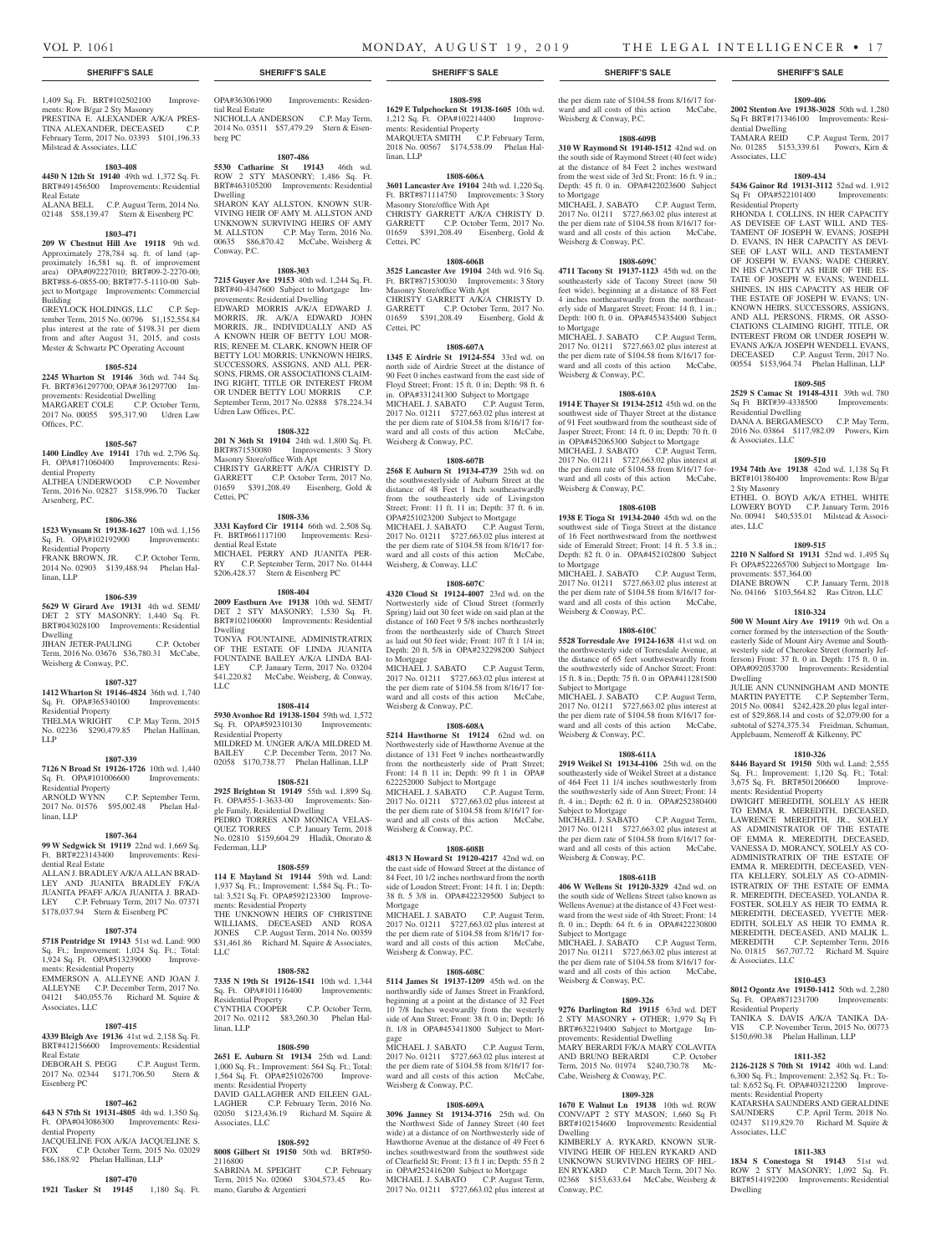dential Dwelling

Associates, LLC

Sq Ft OPA#522101400 Residential Property

Residential Dwelling

& Associates, LLC

2 Sty Masonry

provements: \$57,364.00

ments: Residential Property

& Associates, LLC

Residential Property

ates, LLC

Dwelling

**1809-406 2002 Stenton Ave 19138-3028** 50th wd. 1,280 Sq Ft BRT#171346100 Improvements: Resi-

TAMARA REID C.P. August Term, 2017 No. 01285 \$153,339.61 Powers, Kirn &

**1809-434 5436 Gainor Rd 19131-3112** 52nd wd. 1,912<br>
Sq Ft OPA#522101400 Improvements:

RHONDA I. COLLINS, IN HER CAPACITY AS DEVISEE OF LAST WILL AND TES-TAMENT OF JOSEPH W. EVANS: JOSEPH D. EVANS, IN HER CAPACITY AS DEVI-SEE OF LAST WILL AND TESTAMENT OF JOSEPH W. EVANS; WADE CHERRY, IN HIS CAPACITY AS HEIR OF THE ES-TATE OF JOSEPH W. EVANS; WENDELL SHINES, IN HIS CAPACITY AS HEIR OF THE ESTATE OF JOSEPH W. EVANS; UN-KNOWN HEIRS, SUCCESSORS, ASSIGNS, AND ALL PERSONS, FIRMS, OR ASSO-CIATIONS CLAIMING RIGHT, TITLE, OR INTEREST FROM OR UNDER JOSEPH W. EVANS A/K/A JOSEPH WENDELL EVANS, DECEASED C.P. August Term, 2017 No. 00554 \$153,964.74 Phelan Hallinan, LLP **1809-505 2529 S Camac St 19148-4311** 39th wd. 780 Sq Ft BRT#39-4338500 Improvements:

DANA A. BERGAMESCO C.P. May Term, 2016 No. 03864 \$117,982.09 Powers, Kirn

**1809-510 1934 74th Ave 19138** 42nd wd. 1,138 Sq Ft BRT#101386400 Improvements: Row B/gar

ETHEL O. BOYD A/K/A ETHEL WHITE LOWERY BOYD C.P. January Term, 2016 No. 00941 \$40,535.01 Milstead & Associ-

**1809-515 2210 N Salford St 19131** 52nd wd. 1,495 Sq Ft OPA#522265700 Subject to Mortgage Im-

DIANE BROWN C.P. January Term, 2018 No. 04166 \$103,564.82 Ras Citron, LLC **1810-324 500 W Mount Airy Ave 19119** 9th wd. On a corner formed by the intersection of the Southeasterly Side of Mount Airy Avenue and Southwesterly side of Cherokee Street (formerly Jefferson) Front: 37 ft. 0 in. Depth: 175 ft. 0 in. OPA#092053700 Improvements: Residential

JULIE ANN CUNNINGHAM AND MONTE MARTIN PAYETTE C.P. September Term, 2015 No. 00841 \$242,428.20 plus legal interest of \$29,868.14 and costs of \$2,079.00 for a subtotal of \$274,375.34 Freidman, Schuman, Applebaum, Nemeroff & Kilkenny, PC **1810-326 8446 Bayard St 19150** 50th wd. Land: 2,555 Sq. Ft.; Improvement: 1,120 Sq. Ft.; Total: 3,675 Sq. Ft. BRT#501206600 Improve-

DWIGHT MEREDITH, SOLELY AS HEIR TO EMMA R. MEREDITH, DECEASED, LAWRENCE MEREDITH, JR., SOLELY AS ADMINISTRATOR OF THE ESTATE OF EMMA R. MEREDITH, DECEASED, VANESSA D. MORANCY, SOLELY AS CO-ADMINISTRATRIX OF THE ESTATE OF EMMA R. MEREDITH, DECEASED, VEN-ITA KELLERY, SOLELY AS CO-ADMIN-ISTRATRIX OF THE ESTATE OF EMMA R. MEREDITH, DECEASED, YOLANDA R. FOSTER, SOLELY AS HEIR TO EMMA R. MEREDITH, DECEASED, YVETTE MER-EDITH, SOLELY AS HEIR TO EMMA R. MEREDITH, DECEASED, AND MALIK L. MEREDITH C.P. September Term, 2016 No. 01815 \$67,707.72 Richard M. Squire

**1810-453 8012 Ogontz Ave 19150-1412** 50th wd. 2,280 Sq. Ft. OPA#871231700 Improvements:

TANIKA S. DAVIS A/K/A TANIKA DA-<br>VIS CP November Term 2015 No. 00773 C.P. November Term, 2015 No. 00773

**1811-352 2126-2128 S 70th St 19142** 40th wd. Land: 6,300 Sq. Ft.; Improvement: 2,352 Sq. Ft.; Total: 8,652 Sq. Ft. OPA#403212200 Improve-

KATARSHA SAUNDERS AND GERALDINE SAUNDERS C.P. April Term, 2018 No. 02437 \$119,829.70 Richard M. Squire &

**1811-383 1834 S Conestoga St 19143** 51st wd. ROW 2 STY MASONRY; 1,092 Sq. Ft. BRT#514192200 Improvements: Residential

\$150,690.38 Phelan Hallinan, LLP

ments: Residential Property

Associates, LLC

Dwelling

1,409 Sq. Ft. BRT#102502100 Improvements: Row B/gar 2 Sty Masonry PRESTINA E. ALEXANDER A/K/A PRES-TINA ALEXANDER, DECEASED C.P. February Term, 2017 No. 03393 \$101,196.33 Milstead & Associates, LLC

#### **1803-408**

**4450 N 12th St 19140** 49th wd. 1,372 Sq. Ft. BRT#491456500 Improvements: Residential Real Estate

ALANA BELL C.P. August Term, 2014 No. 02148 \$58,139.47 Stern & Eisenberg PC

#### **1803-471**

**209 W Chestnut Hill Ave 19118** 9th wd. Approximately 278,784 sq. ft. of land (approximately 16,581 sq. ft. of improvement area) OPA#092227010; BRT#09-2-2270-00; BRT#88-6-0855-00; BRT#77-5-1110-00 Subject to Mortgage Improvements: Commercial Building

GREYLOCK HOLDINGS, LLC C.P. September Term, 2015 No. 00796 \$1,152,554.84 plus interest at the rate of \$198.31 per diem from and after August 31, 2015, and costs Mester & Schwartz PC Operating Account

#### **1805-524**

**2245 Wharton St 19146** 36th wd. 744 Sq. Ft. BRT#361297700; OPA# 361297700 Improvements: Residential Dwelling MARGARET COLE C.P. October Term, 2017 No. 00055 \$95,317.90 Udren Law Offices, P.C.

#### **1805-567**

**1400 Lindley Ave 19141** 17th wd. 2,796 Sq. Ft. OPA#171060400 Improvements: Residential Property

ALTHEA UNDERWOOD C.P. November Term, 2016 No. 02827 \$158,996.70 Tucker Arsenberg, P.C.

#### **1806-386**

**1523 Wynsam St 19138-1627** 10th wd. 1,156 Sq. Ft. OPA#102192900 Improvements: Residential Property FRANK BROWN, JR. C.P. October Term, 2014 No. 02903 \$139,488.94 Phelan Hal-

linan, LLP

#### **1806-539**

**5629 W Girard Ave 19131** 4th wd. SEMI/ DET 2 STY MASONRY; 1,440 Sq. Ft. BRT#043028100 Improvements: Residential Dwelling JIHAN JETER-PAULING C.P. October Term, 2016 No. 03676 \$36,780.31 McCabe, Weisberg & Conway, P.C.

#### **1807-327**

**1412 Wharton St 19146-4824** 36th wd. 1,740 Sq. Ft. OPA#365340100 Improvements: Residential Property THELMA WRIGHT C.P. May Term, 2015 No. 02236 \$290,479.85 Phelan Hallinan,

LLP **1807-339**

# **7126 N Broad St 19126-1726** 10th wd. 1,440

Sq. Ft. OPA#101006600 Improvements: Residential Property<br>ARNOLD WYNN C.P. September Term, 2017 No. 01576 \$95,002.48 Phelan Hallinan, LLP

#### **1807-364**

**99 W Sedgwick St 19119** 22nd wd. 1,669 Sq. Ft. BRT#223143400 Improvements: Residential Real Estate ALLAN J. BRADLEY A/K/A ALLAN BRAD-

LEY AND JUANITA BRADLEY F/K/A JUANITA PFAFF A/K/A JUANITA J. BRAD-LEY C.P. February Term, 2017 No. 07371 \$178,037.94 Stern & Eisenberg PC

### **1807-374**

**5718 Pentridge St 19143** 51st wd. Land: 900 Sq. Ft.; Improvement: 1,024 Sq. Ft.; Total: 1,924 Sq. Ft. OPA#513239000 Improvements: Residential Property EMMERSON A. ALLEYNE AND JOAN J. ALLEYNE C.P. December Term, 2017 No. 04121 \$40,055.76 Richard M. Squire & Associates, LLC

#### **1807-415**

**4339 Bleigh Ave 19136** 41st wd. 2,158 Sq. Ft. Improvements: Residential Real Estate DEBORAH S. PEGG C.P. August Term,

2017 No. 02344 \$171,706.50 Stern & Eisenberg PC

# **1807-462**

**643 N 57th St 19131-4805** 4th wd. 1,350 Sq. Ft. OPA#043086300 Improvements: Residential Property JACQUELINE FOX A/K/A JACQUELINE S.

FOX C.P. October Term, 2015 No. 02029 \$86,188.92 Phelan Hallinan, LLP **1807-470**

**1921 Tasker St 19145** 1,180 Sq. Ft.

OPA#363061900 Improvements: Residential Real Estate NICHOLLA ANDERSON C.P. May Term, 2014 No. 03511 \$57,479.29 Stern & Eisenberg PC

**1807-486**

**5530 Catharine St 19143** 46th wd. ROW 2 STY MASONRY; 1,486 Sq. Ft. BRT#463105200 Improvements: Residential Dwelling SHARON KAY ALLSTON, KNOWN SUR-VIVING HEIR OF AMY M. ALLSTON AND UNKNOWN SURVIVING HEIRS OF AMY M. ALLSTON C.P. May Term, 2016 No. 00635 \$86,870.42 McCabe, Weisberg & Conway, P.C.

#### **1808-303**

**7215 Guyer Ave 19153** 40th wd. 1,244 Sq. Ft. BRT#40-4347600 Subject to Mortgage Improvements: Residential Dwelling

EDWARD MORRIS A/K/A EDWARD J. MORRIS, JR. A/K/A EDWARD JOHN MORRIS, JR., INDIVIDUALLY AND AS A KNOWN HEIR OF BETTY LOU MOR-RIS; RENEE M. CLARK, KNOWN HEIR OF BETTY LOU MORRIS; UNKNOWN HEIRS, SUCCESSORS, ASSIGNS, AND ALL PER-SONS, FIRMS, OR ASSOCIATIONS CLAIM-ING RIGHT, TITLE OR INTEREST FROM OR UNDER BETTY LOU MORRIS C.P. September Term, 2017 No. 02888 \$78,224.34 Udren Law Offices, P.C.

#### **1808-322**

**201 N 36th St 19104** 24th wd. 1,800 Sq. Ft. BRT#871530080 Improvements: 3 Story Masonry Store/office With Apt CHRISTY GARRETT A/K/A CHRISTY D. GARRETT C.P. October Term, 2017 No. 01659 \$391,208.49 Eisenberg, Gold & Cettei, PC

#### **1808-336**

**3331 Kayford Cir 19114** 66th wd. 2,508 Sq. Ft. BRT#661117100 Improvements: Residential Real Estate MICHAEL PERRY AND JUANITA PER-RY C.P. September Term, 2017 No. 01444 \$206,428.37 Stern & Eisenberg PC

**1808-404**

**2009 Eastburn Ave 19138** 10th wd. SEMT/ DET 2 STY MASONRY; 1,530 Sq. Ft. BRT#102106000 Improvements: Residential Dwelling TONYA FOUNTAINE, ADMINISTRATRIX OF THE ESTATE OF LINDA JUANITA FOUNTAINE BAILEY A/K/A LINDA BAI-LEY C.P. January Term, 2017 No. 03204 \$41,220.82 McCabe, Weisberg, & Conway,

#### **1808-414**

LLC

**5930 Avonhoe Rd 19138-1504** 59th wd. 1,572 Sq. Ft. OPA#592310130 Improvements: Residential Property MILDRED M. UNGER A/K/A MILDRED M. C.P. December Term, 2017 No. 02058 \$170,738.77 Phelan Hallinan, LLP

#### **1808-521**

**2925 Brighton St 19149** 55th wd. 1,899 Sq. Ft. OPA#55-1-3633-00 Improvements: Single Family, Residential Dwelling PEDRO TORRES AND MONICA VELAS-QUEZ TORRES C.P. January Term, 2018 No. 02810 \$159,604.29 Hladik, Onorato & Federman, LLP

#### **1808-559**

**114 E Mayland St 19144** 59th wd. Land: 1,937 Sq. Ft.; Improvement: 1,584 Sq. Ft.; Total: 3,521 Sq. Ft. OPA#592123300 Improvements: Residential Property THE UNKNOWN HEIRS OF CHRISTINE WILLIAMS, DECEASED AND ROSA JONES C.P. August Term, 2014 No. 00359 \$31,461.86 Richard M. Squire & Associates, LLC

#### **1808-582**

**7335 N 19th St 19126-1541** 10th wd. 1,344 Sq. Ft. OPA#101116400 Residential Property CYNTHIA COOPER C.P. October Term, 2017 No. 02112 \$83,260.30 Phelan Hallinan, LLP

#### **1808-590**

**2651 E. Auburn St 19134** 25th wd. Land: 1,000 Sq. Ft.; Improvement: 564 Sq. Ft.; Total: 1,564 Sq. Ft. OPA#251026700 Improvements: Residential Property DAVID GALLAGHER AND EILEEN GAL-LAGHER C.P. February Term, 2016 No. 02050 \$123,436.19 Richard M. Squire & Associates, LLC

#### **1808-592**

**8008 Gilbert St 19150** 50th wd. BRT#50- 2116800

SABRINA M. SPEIGHT C.P. February Term, 2015 No. 02060 \$304,573.45 Romano, Garubo & Argentieri

**SHERIFF'S SALE SHERIFF'S SALE SHERIFF'S SALE SHERIFF'S SALE SHERIFF'S SALE**

### **1808-598**

**1629 E Tulpehocken St 19138-1605** 10th wd. 1,212 Sq. Ft. OPA#102214400 Improvements: Residential Property MARQUETA SMITH C.P. February Term, 2018 No. 00567 \$174,538.09 Phelan Hallinan, LLP

#### **1808-606A**

**3601 Lancaster Ave 19104** 24th wd. 1,220 Sq. Ft. BRT#871114750 Improvements: 3 Story Masonry Store/office With Apt CHRISTY GARRETT A/K/A CHRISTY D. GARRETT C.P. October Term, 2017 No. 01659 \$391,208.49 Eisenberg, Gold & Cettei, PC

# **1808-606B**

**3525 Lancaster Ave 19104** 24th wd. 916 Sq. Ft. BRT#871530030 Improvements: 3 Story Masonry Store/office With Apt CHRISTY GARRETT A/K/A CHRISTY D. GARRETT C.P. October Term, 2017 No. 01659 \$391,208.49 Eisenberg, Gold & Cettei, PC

#### **1808-607A**

**1345 E Airdrie St 19124-554** 33rd wd. on north side of Airdrie Street at the distance of 90 Feet 0 inches eastward from the east side of Floyd Street; Front: 15 ft. 0 in; Depth: 98 ft. 6 in. OPA#331241300 Subject to Mortgage MICHAEL J. SABATO C.P. August Term, 2017 No. 01211 \$727,663.02 plus interest at the per diem rate of \$104.58 from 8/16/17 forward and all costs of this action McCabe, Weisberg & Conway, P.C.

#### **1808-607B**

**2568 E Auburn St 19134-4739** 25th wd. on the southwesterlyside of Auburn Street at the distance of 48 Feet 1 Inch southeastwardly from the southeasterly side of Livingston Street; Front: 11 ft. 11 in; Depth: 37 ft. 6 in. OPA#251023200 Subject to Mortgage MICHAEL J. SABATO C.P. August Term, 2017 No. 01211 \$727,663.02 plus interest at the per diem rate of \$104.58 from 8/16/17 forward and all costs of this action McCabe, Weisberg, & Conway, LLC

#### **1808-607C**

**4320 Cloud St 19124-4007** 23rd wd. on the Nortwesterly side of Cloud Street (formerly Spring) laid out 30 feet wide on said plan at the distance of 160 Feet 9 5/8 inches northeasterly from the northeasterly side of Church Street as laid out 50 feet wide; Front: 107 ft 1 1/4 in; Depth: 20 ft. 5/8 in OPA#232298200 Subject to Mortgage

MICHAEL J. SABATO C.P. August Term, 2017 No. 01211 \$727,663.02 plus interest at the per diem rate of \$104.58 from 8/16/17 forward and all costs of this action McCabe, Weisberg & Conway, P.C.

#### **1808-608A**

**5214 Hawthorne St 19124** 62nd wd. on Northwesterly side of Hawthorne Avenue at the distance of 131 Feet 9 inches northeastwardly from the northeasterly side of Pratt Street; Front: 14 ft 11 in; Depth: 99 ft 1 in OPA# 622252000 Subject to Mortgage MICHAEL J. SABATO C.P. August Term, 2017 No. 01211 \$727,663.02 plus interest at the per diem rate of \$104.58 from 8/16/17 for-

ward and all costs of this action McCabe, Weisberg & Conway, P.C.

#### **1808-608B**

**4813 N Howard St 19120-4217** 42nd wd. on the east side of Howard Street at the distance of 84 Feet, 10 1/2 inches northward from the north side of Loudon Street; Front: 14 ft. 1 in; Depth: 38 ft. 5 3/8 in. OPA#422329500 Subject to Mortgage

MICHAEL J. SABATO C.P. August Term, 2017 No. 01211 \$727,663.02 plus interest at the per diem rate of \$104.58 from 8/16/17 forward and all costs of this action McCabe, Weisberg & Conway, P.C.

#### **1808-608C**

**5114 James St 19137-1209** 45th wd. on the northwardly side of James Street in Frankford, beginning at a point at the distance of 32 Feet 10 7/8 Inches westwardly from the westerly side of Ann Street; Front: 38 ft. 0 in; Depth: 16 ft. 1/8 in OPA#453411800 Subject to Mortgage

MICHAEL J. SABATO C.P. August Term, 2017 No. 01211 \$727,663.02 plus interest at the per diem rate of \$104.58 from 8/16/17 forward and all costs of this action McCabe, Weisberg & Conway, P.C.

#### **1808-609A**

**3096 Janney St 19134-3716** 25th wd. On the Northwest Side of Janney Street (40 feet wide) at a distance of on Northwesterly side of Hawthorne Avenue at the distance of 49 Feet 6 inches southwestward from the southwest side of Clearfield St; Front: 13 ft 1 in; Depth: 55 ft 2 in OPA#252416200 Subject to Mortgage MICHAEL J. SABATO C.P. August Term, 2017 No. 01211 \$727,663.02 plus interest at

# the per diem rate of \$104.58 from 8/16/17 forward and all costs of this action McCabe,

Weisberg & Conway, P.C. **1808-609B**

**310 W Raymond St 19140-1512** 42nd wd. on the south side of Raymond Street (40 feet wide) at the distance of 84 Feet 2 inches westward from the west side of 3rd St; Front: 16 ft. 9 in.; Depth: 45 ft. 0 in. OPA#422023600 Subject to Mortgage MICHAEL J. SABATO C.P. August Term, 2017 No. 01211 \$727,663.02 plus interest at the per diem rate of \$104.58 from 8/16/17 forward and all costs of this action McCabe, Weisberg & Conway, P.C.

### **1808-609C**

**4711 Tacony St 19137-1123** 45th wd. on the southeasterly side of Tacony Street (now 50 feet wide), beginning at a distance of 88 Feet 4 inches northeastwardly from the northeasterly side of Margaret Street; Front: 14 ft. 1 in.; Depth: 100 ft. 0 in. OPA#453435400 Subject to Mortgage MICHAEL J. SABATO C.P. August Term,

2017 No. 01211 \$727,663.02 plus interest at the per diem rate of \$104.58 from 8/16/17 forward and all costs of this action McCabe, Weisberg & Conway, P.C.

#### **1808-610A**

**1914 E Thayer St 19134-2512** 45th wd. on the southwest side of Thayer Street at the distance of 91 Feet southward from the southeast side of Jasper Street; Front: 14 ft. 0 in; Depth: 70 ft. 0 in OPA#452065300 Subject to Mortgage MICHAEL J. SABATO C.P. August Term, 2017 No. 01211 \$727,663.02 plus interest at the per diem rate of \$104.58 from 8/16/17 forward and all costs of this action McCabe, Weisberg & Conway, P.C.

#### **1808-610B**

**1938 E Tioga St 19134-2040** 45th wd. on the southwest side of Tioga Street at the distance of 16 Feet northwestward from the northwest side of Emerald Street; Front: 14 ft. 5 3.8 in.; Depth: 82 ft. 0 in. OPA#452102800 Subject to Mortgage MICHAEL J. SABATO C.P. August Term, 2017 No. 01211 \$727,663.02 plus interest at

the per diem rate of \$104.58 from 8/16/17 forward and all costs of this action McCabe, Weisberg & Conway, P.C.

**1808-610C 5528 Torresdale Ave 19124-1638** 41st wd. on the northwesterly side of Torresdale Avenue, at the distance of 65 feet southwestwardly from the southwesterly side of Anchor Street; Front: 15 ft. 8 in.; Depth: 75 ft. 0 in OPA#411281500

MICHAEL J. SABATO C.P. August Term, 2017 No. 01211 \$727,663.02 plus interest at the per diem rate of \$104.58 from 8/16/17 forvard and all costs of this action McCabe,

**1808-611A 2919 Weikel St 19134-4106** 25th wd. on the southeasterly side of Weikel Street at a distance of 464 Feet 11 1/4 inches southwesterly from the southwesterly side of Ann Street; Front: 14 ft. 4 in.; Depth: 62 ft. 0 in. OPA#252380400

MICHAEL J. SABATO C.P. August Term, 2017 No. 01211 \$727,663.02 plus interest at the per diem rate of \$104.58 from 8/16/17 forward and all costs of this action McCabe,

**1808-611B 406 W Wellens St 19120-3329** 42nd wd. on the south side of Wellens Street (also known as Wellens Avenue) at the distance of 43 Feet westward from the west side of 4th Street; Front: 14 ft. 0 in.; Depth: 64 ft. 6 in OPA#422230800

MICHAEL J. SABATO C.P. August Term, 2017 No. 01211 \$727,663.02 plus interest at the per diem rate of \$104.58 from 8/16/17 forward and all costs of this action McCabe,

**1809-326 9276 Darlington Rd 19115** 63rd wd. DET 2 STY MASONRY + OTHER; 1,979 Sq Ft BRT#632219400 Subject to Mortgage Im-

**1809-328 1670 E Walnut Ln 19138** 10th wd. ROW CONV/APT 2 STY MASON; 1,660 Sq Ft BRT#102154600 Improvements: Residential

KIMBERLY A. RYKARD, KNOWN SUR-VIVING HEIR OF HELEN RYKARD AND UNKNOWN SURVIVING HEIRS OF HEL-EN RYKARD C.P. March Term, 2017 No. 02368 \$153,633.64 McCabe, Weisberg &

Subject to Mortgage

Weisberg & Conway, P.C.

Subject to Mortgage

Weisberg & Conway, P.C.

Subject to Mortgage

Weisberg & Conway, P.C.

provements: Residential Dwelling MARY BERARDI F/K/A MARY COLAVITA AND BRUNO BERARDI C.P. October Term, 2015 No. 01974 \$240,730.78 Mc-

Cabe, Weisberg & Conway, P.C.

Dwelling

Conway, P.C.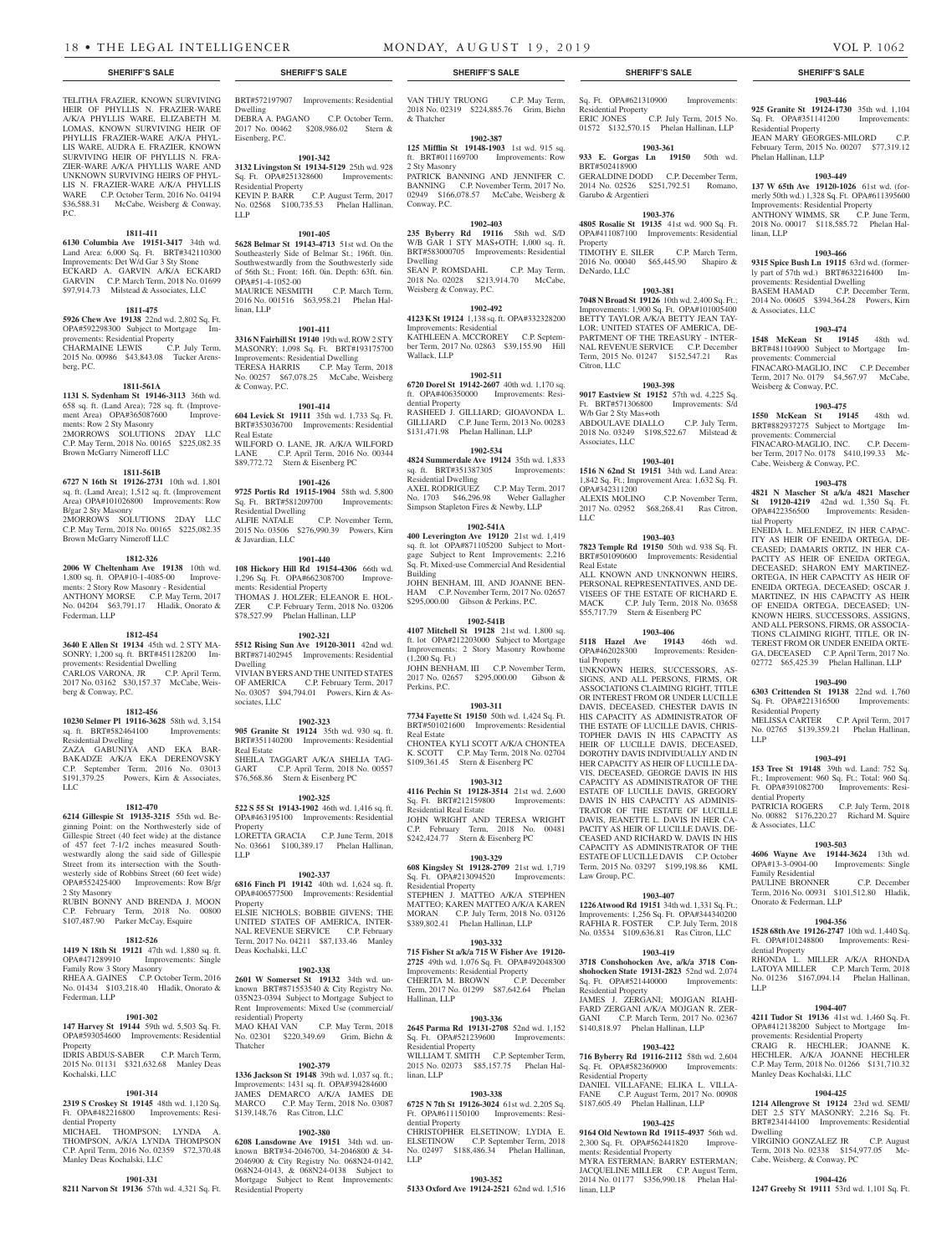TELITHA FRAZIER, KNOWN SURVIVING HEIR OF PHYLLIS N. FRAZIER-WARE A/K/A PHYLLIS WARE, ELIZABETH M. LOMAS, KNOWN SURVIVING HEIR OF PHYLLIS FRAZIER-WARE A/K/A PHYL-LIS WARE, AUDRA E. FRAZIER, KNOWN SURVIVING HEIR OF PHYLLIS N. FRA-ZIER-WARE A/K/A PHYLLIS WARE AND UNKNOWN SURVIVING HEIRS OF PHYL-LIS N. FRAZIER-WARE A/K/A PHYLLIS WARE C.P. October Term, 2016 No. 04194 \$36,588.31 McCabe, Weisberg & Conway, P.C.

#### **1811-411**

**6130 Columbia Ave 19151-3417** 34th wd. Land Area: 6,000 Sq. Ft. BRT#342110300 Improvements: Det W/d Gar 3 Sty Stone ECKARD A. GARVIN A/K/A ECKARD GARVIN C.P. March Term, 2018 No. 01699 \$97,914.73 Milstead & Associates, LLC

# **1811-475**

**5926 Chew Ave 19138** 22nd wd. 2,802 Sq. Ft. OPA#592298300 Subject to Mortgage Improvements: Residential Property CHARMAINE LEWIS C.P. July Term, 2015 No. 00986 \$43,843.08 Tucker Arensberg, P.C.

#### **1811-561A**

**1131 S. Sydenham St 19146-3113** 36th wd. 658 sq. ft. (Land Area); 728 sq. ft. (Improvement Area) OPA#365087600 Improvements: Row 2 Sty Masonry 2MORROWS SOLUTIONS 2DAY LLC C.P. May Term, 2018 No. 00165 \$225,082.35 Brown McGarry Nimeroff LLC

# **1811-561B**

**6727 N 16th St 19126-2731** 10th wd. 1,801 sq. ft. (Land Area); 1,512 sq. ft. (Improvement Area) OPA#101026800 Improvements: Row B/gar 2 Sty Masonry 2MORROWS SOLUTIONS 2DAY LLC C.P. May Term, 2018 No. 00165 \$225,082.35 Brown McGarry Nimeroff LLC

### **1812-326**

**2006 W Cheltenham Ave 19138** 10th wd. 1,800 sq. ft. OPA#10-1-4085-00 Improvements: 2 Story Row Masonry - Residential ANTHONY MORSE C.P. May Term, 2017 No. 04204 \$63,791.17 Hladik, Onorato & Federman, LLP

# **1812-454**

**3640 E Allen St 19134** 45th wd. 2 STY MA-SONRY; 1,200 sq. ft. BRT#451128200 Improvements: Residential Dwelling CARLOS VARONA, JR C.P. April Term, 2017 No. 03162 \$30,157.37 McCabe, Weisberg & Conway, P.C.

#### **1812-456**

**10230 Selmer Pl 19116-3628** 58th wd. 3,154 sq. ft. BRT#582464100 Improvements: Residential Dwelling ZAZA GABUNIYA AND EKA BAR-

BAKADZE A/K/A EKA DERENOVSKY C.P. September Term, 2016 No. 03013 \$191,379.25 Powers, Kirn & Associates, LLC

#### **1812-470**

**6214 Gillespie St 19135-3215** 55th wd. Beginning Point: on the Northwesterly side of Gillespie Street (40 feet wide) at the distance of 457 feet 7-1/2 inches measured Southwestwardly along the said side of Gillespie Street from its intersection with the Southwesterly side of Robbins Street (60 feet wide) OPA#552425400 Improvements: Row B/gr 2 Sty Masonry RUBIN BONNY AND BRENDA J. MOON C.P. February Term, 2018 No. 00800 \$107,487.90 Parker McCay, Esquire

#### **1812-526**

**1419 N 18th St 19121** 47th wd. 1,880 sq. ft. OPA#471289910 Improvements: Single Family Row 3 Story Masonry RHEA A. GAINES C.P. October Term, 2016 No. 01434 \$103,218.40 Hladik, Onorato & Federman, LLP

# **1901-302**

**147 Harvey St 19144** 59th wd. 5,503 Sq. Ft. OPA#593054600 Improvements: Residential Property IDRIS ABDUS-SABER C.P. March Term, 2015 No. 01131 \$321,632.68 Manley Deas

# Kochalski, LLC

**1901-314 2319 S Croskey St 19145** 48th wd. 1,120 Sq. Ft. OPA#482216800 Improvements: Residential Property MICHAEL THOMPSON; LYNDA A.

THOMPSON, A/K/A LYNDA THOMPSON C.P. April Term, 2016 No. 02359 \$72,370.48

Manley Deas Kochalski, LLC

**1901-331 8211 Narvon St 19136** 57th wd. 4,321 Sq. Ft.

#### **1901-342 3132 Livingston St 19134-5129** 25th wd. 928 Sq. Ft. OPA#251328600 Improvements: Residential Property KEVIN P. BARR C.P. August Term, 2017

No. 02568 \$100,735.53 Phelan Hallinan, LLP **1901-405**

**5628 Belmar St 19143-4713** 51st wd. On the Southeasterly Side of Belmar St.; 196ft. 0in. Southwestwardly from the Southwesterly side of 56th St.; Front: 16ft. 0in. Depth: 63ft. 6in. OPA#51-4-1052-00 MAURICE NESMITH C.P. March Term, 2016 No. 001516 \$63,958.21 Phelan Hallinan, LLP

#### **1901-411 3316 N Fairhill St 19140** 19th wd. ROW 2 STY MASONRY; 1,098 Sq. Ft. BRT#193175700 Improvements: Residential Dwelling TERESA HARRIS C.P. May Term, 2018 No. 00257 \$67,078.25 McCabe, Weisberg & Conway, P.C.

**1901-414 604 Levick St 19111** 35th wd. 1,733 Sq. Ft. BRT#353036700 Improvements: Residential Real Estate WILFORD O. LANE, JR. A/K/A WILFORD LANE C.P. April Term, 2016 No. 00344 \$89,772.72 Stern & Eisenberg PC

# **1901-426**

**9725 Portis Rd 19115-1904** 58th wd. 5,800<br>Sq. Ft. BRT#581209700 Improvements: Sq. Ft. BRT#581209700 Improvements: Residential Dwelling ALFIE NATALE C.P. November Term, 2015 No. 03506 \$276,990.39 Powers, Kirn & Javardian, LLC

#### **1901-440**

**108 Hickory Hill Rd 19154-4306** 66th wd. 1,296 Sq. Ft. OPA#662308700 Improvements: Residential Property THOMAS J. HOLZER; ELEANOR E. HOL-<br>ZER C.P. February Term. 2018 No. 03206 C.P. February Term, 2018 No. 03206 **EXACTLE CALL COLUMN** FORM, 2013.

#### **1902-321**

**5512 Rising Sun Ave 19120-3011** 42nd wd. BRT#871402945 Improvements: Residential Dwelling VIVIAN BYERS AND THE UNITED STATES OF AMERICA C.P. February Term, 2017 No. 03057 \$94,794.01 Powers, Kirn & Associates, LLC

#### **1902-323**

**905 Granite St 19124** 35th wd. 930 sq. ft. BRT#351140200 Improvements: Residential Real Estate SHEILA TAGGART A/K/A SHELIA TAG-GART C.P. April Term, 2018 No. 00557 \$76,568.86 Stern & Eisenberg PC

**1902-325**

**522 S 55 St 19143-1902** 46th wd. 1,416 sq. ft. OPA#463195100 Improvements: Residential Property LORETTA GRACIA C.P. June Term, 2018 No. 03661 \$100,389.17 Phelan Hallinan, LLP

# **1902-337**

**6816 Finch Pl 19142** 40th wd. 1,624 sq. ft. OPA#406577500 Improvements: Residential Property ELSIE NICHOLS; BOBBIE GIVENS; THE

UNITED STATES OF AMERICA, INTER-NAL REVENUE SERVICE C.P. February Term, 2017 No. 04211 \$87,133.46 Manley Deas Kochalski, LLC

#### **1902-338**

**2601 W Somerset St 19132** 34th wd. unknown BRT#871553540 & City Registry No. 035N23-0394 Subject to Mortgage Subject to Rent Improvements: Mixed Use (commercial/ residential) Property MAO KHAI VAN C.P. May Term, 2018 No. 02301 \$220,349.69 Grim, Biehn & Thatcher

#### **1902-379**

**1336 Jackson St 19148** 39th wd. 1,037 sq. ft.; Improvements: 1431 sq. ft. OPA#394284600 JAMES DEMARCO A/K/A JAMES DE MARCO C.P. May Term, 2018 No. 03087 \$139,148.76 Ras Citron, LLC

#### **1902-380**

**6208 Lansdowne Ave 19151** 34th wd. unknown BRT#34-2046700, 34-2046800 & 34- 2046900 & City Registry No. 068N24-0142, 068N24-0143, & 068N24-0138 Subject to Mortgage Subject to Rent Improvements: Residential Property

VAN THUY TRUONG C.P. May Term, 2018 No. 02319 \$224,885.76 Grim, Biehn & Thatcher

#### **1902-387 125 Mifflin St 19148-1903** 1st wd. 915 sq.

ft. BRT#011169700 Improvements: Row 2 Sty Masonry PATRICK BANNING AND JENNIFER C. BANNING C.P. November Term, 2017 No. 02949 \$166,078.57 McCabe, Weisberg & Conway, P.C.

# **1902-403**

**235 Byberry Rd 19116** 58th wd. S/D W/B GAR 1 STY MAS+OTH; 1,000 sq. ft. BRT#583000705 Improvements: Residential Dwelling SEAN P. ROMSDAHL C.P. May Term, 2018 No. 02028 \$213,914.70 McCabe, Weisberg & Conway, P.C.

# **1902-492**

**4123 K St 19124** 1,138 sq. ft. OPA#332328200 Improvements: Residential KATHLEEN A. MCCROREY C.P. September Term, 2017 No. 02863 \$39,155.90 Hill Wallack, LLP

### **1902-511**

**6720 Dorel St 19142-2607** 40th wd. 1,170 sq. ft. OPA#406350000 Improvements: Residential Property RASHEED J. GILLIARD; GIOAVONDA L. GILLIARD C.P. June Term, 2013 No. 00283 \$131,471.98 Phelan Hallinan, LLP

#### **1902-534**

**4824 Summerdale Ave 19124** 35th wd. 1,833 sq. ft. BRT#351387305 Improvements: Residential Dwelling AXEL RODRIGUEZ C.P. May Term, 2017 No. 1703 \$46,296.98 Weber Gallagher Simpson Stapleton Fires & Newby, LLP

#### **1902-541A**

**400 Leverington Ave 19120** 21st wd. 1,419 sq. ft. lot OPA#871105200 Subject to Mortgage Subject to Rent Improvements: 2,216 Sq. Ft. Mixed-use Commercial And Residential Building

JOHN BENHAM, III, AND JOANNE BEN-HAM C.P. November Term, 2017 No. 02657 \$295,000.00 Gibson & Perkins, P.C.

# **1902-541B**

**4107 Mitchell St 19128** 21st wd. 1,800 sq. ft. lot OPA#212203000 Subject to Mortgage Improvements: 2 Story Masonry Rowhome (1,200 Sq. Ft.) JOHN BENHAM, III C.P. November Term, 2017 No. 02657 \$295,000.00 Gibson & Perkins, P.C.

#### **1903-311**

**7734 Fayette St 19150** 50th wd. 1,424 Sq. Ft. BRT#501021600 Improvements: Residential Real Estate

CHONTEA KYLI SCOTT A/K/A CHONTEA K. SCOTT C.P. May Term, 2018 No. 02704 \$109,361.45 Stern & Eisenberg PC

# **1903-312**

**4116 Pechin St 19128-3514** 21st wd. 2,600 Sq. Ft. BRT#212159800 Improvements: Residential Real Estate JOHN WRIGHT AND TERESA WRIGHT C.P. February Term, 2018 No. 00481 \$242,424.77 Stern & Eisenberg PC

# **1903-329**

**608 Kingsley St 19128-2709** 21st wd. 1,719 Sq. Ft. OPA#213094520 Improvements: Residential Property

STEPHEN J. MATTEO A/K/A STEPHEN MATTEO; KAREN MATTEO A/K/A KAREN MORAN C.P. July Term, 2018 No. 03126 \$389,802.41 Phelan Hallinan, LLP

# **1903-332**

**715 Fisher St a/k/a 715 W Fisher Ave 19120- 2725** 49th wd. 1,076 Sq. Ft. OPA#492048300 Improvements: Residential Property CHERITA M. BROWN C.P. December Term, 2017 No. 01299 \$87,642.64 Phelan Hallinan, LLP

# **1903-336**

**2645 Parma Rd 19131-2708** 52nd wd. 1,152 Sq. Ft. OPA#521239600 Improvements: Residential Property WILLIAM T. SMITH C.P. September Term, 2015 No. 02073 \$85,157.75 Phelan Hal-

# linan, LLP

**1903-338 6725 N 7th St 19126-3024** 61st wd. 2,205 Sq. Ft. OPA#611150100 Improvements: Residential Property CHRISTOPHER ELSETINOW; LYDIA E. ELSETINOW C.P. September Term, 2018

No. 02497 \$188,486.34 Phelan Hallinan, LLP **1903-352**

# **5133 Oxford Ave 19124-2521** 62nd wd. 1,516

### **SHERIFF'S SALE SHERIFF'S SALE SHERIFF'S SALE SHERIFF'S SALE SHERIFF'S SALE**

Sq. Ft. OPA#621310900 Improvements: Residential Property ERIC JONES C.P. July Term, 2015 No. 01572 \$132,570.15 Phelan Hallinan, LLP

# **1903-361**

**1903-446** 925 Granite St 19124-1730 35th wd. 1,104<br>Sq. Ft. OPA#351141200 Improvements:

JEAN MARY GEORGES-MILORD C.P. February Term, 2015 No. 00207 \$77,319.12

**1903-449 137 W 65th Ave 19120-1026** 61st wd. (formerly 50th wd.) 1,328 Sq. Ft. OPA#611395600 Improvements: Residential Property ANTHONY WIMMS, SR C.P. June Term, 2018 No. 00017 \$118,585.72 Phelan Hal-

**1903-466 9315 Spice Bush Ln 19115** 63rd wd. (formerly part of 57th wd.) BRT#632216400 Improvements: Residential Dwelling

BASEM HAMAD C.P. December Term, 2014 No. 00605 \$394,364.28 Powers, Kirn

**1903-474 1548 McKean St 19145** 48th wd. BRT#481104900 Subject to Mortgage Im-

FINACARO-MAGLIO, INC C.P. December Term, 2017 No. 0179 \$4,567.97 McCabe,

**1903-475 1550 McKean St 19145** 48th wd. BRT#882937275 Subject to Mortgage Im-

FINACARO-MAGLIO, INC. C.P. December Term, 2017 No. 0178 \$410,199.33 Mc-

**1903-478 4821 N Mascher St a/k/a 4821 Mascher St 19120-4219** 42nd wd. 1,350 Sq. Ft. OPA#422356500 Improvements: Residen-

ENEIDA L. MELENDEZ, IN HER CAPAC-ITY AS HEIR OF ENEIDA ORTEGA, DE-CEASED; DAMARIS ORTIZ, IN HER CA-PACITY AS HEIR OF ENEIDA ORTEGA, DECEASED; SHARON EMY MARTINEZ-ORTEGA, IN HER CAPACITY AS HEIR OF ENEIDA ORTEGA, DECEASED; OSCAR J. MARTINEZ, IN HIS CAPACITY AS HEIR OF ENEIDA ORTEGA, DECEASED; UN-KNOWN HEIRS, SUCCESSORS, ASSIGNS, AND ALL PERSONS, FIRMS, OR ASSOCIA-TIONS CLAIMING RIGHT, TITLE, OR IN-TEREST FROM OR UNDER ENEIDA ORTE-GA, DECEASED C.P. April Term, 2017 No. 02772 \$65,425.39 Phelan Hallinan, LLP **1903-490 6303 Crittenden St 19138** 22nd wd. 1,760 Sq. Ft. OPA#221316500 Improvements:

MELISSA CARTER C.P. April Term, 2017 No. 02765 \$139,359.21 Phelan Hallinan,

**1903-491 153 Tree St 19148** 39th wd. Land: 752 Sq. Ft.; Improvement: 960 Sq. Ft.; Total: 960 Sq. Ft. OPA#391082700 Improvements: Resi-

PATRICIA ROGERS C.P. July Term, 2018 No. 00882 \$176,220.27 Richard M. Squire

**1903-503 4606 Wayne Ave 19144-3624** 13th wd. OPA#13-3-0904-00 Improvements: Single

PAULINE BRONNER C.P. December Term, 2016 No. 00931 \$101,512.80 Hladik,

**1904-356 1528 68th Ave 19126-2747** 10th wd. 1,440 Sq. Ft. OPA#101248800 Improvements: Resi-

RHONDA L. MILLER A/K/A RHONDA LATOYA MILLER C.P. March Term, 2018 No. 01236 \$167,094.14 Phelan Hallinan,

**1904-407 4211 Tudor St 19136** 41st wd. 1,460 Sq. Ft. OPA#412138200 Subject to Mortgage Im-

**1904-425 1214 Allengrove St 19124** 23rd wd. SEMI/ DET 2.5 STY MASONRY; 2,216 Sq. Ft. BRT#234144100 Improvements: Residential

VIRGINIO GONZALEZ JR C.P. August Term, 2018 No. 02338 \$154,977.05 Cabe, Weisberg, & Conway, PC

**1904-426 1247 Greeby St 19111** 53rd wd. 1,101 Sq. Ft.

HECHLER; JOANNE HECHLER, A/K/A JOANNE HECHLER C.P. May Term, 2018 No. 01266 \$131,710.32

provements: Residential Property<br>  $\overline{P}$   $\overline{P}$   $\overline{P}$   $\overline{H}$   $\overline{H}$   $\overline{C}$   $\overline{H}$   $\overline{F}$   $\overline{F}$   $\overline{F}$   $\overline{C}$   $\overline{H}$ 

Manley Deas Kochalski, LLC

 $Sq. \; Ft. \; OPA#351141200$ Residential Property

Phelan Hallinan, LLP

linan, LLP

& Associates, LLC

provements: Commercial

Weisberg & Conway, P.C.

provements: Commercial

tial Property

Residential Property

dential Property

& Associates, LLC

Family Residential

dential Property

LLP

Dwelling

Onorato & Federman, LLP

LLP

Cabe, Weisberg & Conway, P.C.

**933 E. Gorgas Ln 19150** 50th wd. BRT#502418900 GERALDINE DODD C.P. December Term, 2014 No. 02526 \$251,792.51 Romano, Garubo & Argentieri

#### **1903-376**

**4805 Rosalie St 19135** 41st wd. 900 Sq. Ft. OPA#411087100 Improvements: Residential Property TIMOTHY E. SILER C.P. March Term,

2016 No. 00040 \$65,445.90 Shapiro & DeNardo, LLC

# **1903-381**

**7048 N Broad St 19126** 10th wd. 2,400 Sq. Ft.; Improvements: 1,900 Sq. Ft. OPA#101005400 BETTY TAYLOR A/K/A BETTY JEAN TAY-LOR; UNITED STATES OF AMERICA, DE-PARTMENT OF THE TREASURY - INTER-NAL REVENUE SERVICE C.P. December Term, 2015 No. 01247 \$152,547.21 Ras Citron, LLC

#### **1903-398**

**9017 Eastview St 19152** 57th wd. 4,225 Sq. Ft. BRT#571306800 Improvements: S/d W/b Gar 2 Sty Mas+oth ABDOULAVE DIALLO C.P. July Term, 2018 No. 03249 \$198,522.67 Milstead & Associates, LLC

#### **1903-401**

Real Estate

tial Property

Law Group, P.C.

Residential Property

Sq. Ft. OPA#582360900 Residential Property

ments: Residential Property

linan, LLP

**1516 N 62nd St 19151** 34th wd. Land Area: 1,842 Sq. Ft.; Improvement Area: 1,632 Sq. Ft. OPA#342311200 ALEXIS MOLINO C.P. November Term, 2017 No. 02952 \$68,268.41 Ras Citron, LLC

**1903-403 7823 Temple Rd 19150** 50th wd. 938 Sq. Ft. BRT#501090600 Improvements: Residential

ALL KNOWN AND UNKNONWN HEIRS, PERSONAL REPRESENTATIVES, AND DE-VISEES OF THE ESTATE OF RICHARD E. MACK C.P. July Term, 2018 No. 03658 \$55,717.79 Stern & Eisenberg PC

**1903-406 5118 Hazel Ave 19143** 46th wd. OPA#462028300 Improvements: Residen-

UNKNOWN HEIRS, SUCCESSORS, AS-SIGNS, AND ALL PERSONS, FIRMS, OR ASSOCIATIONS CLAIMING RIGHT, TITLE OR INTEREST FROM OR UNDER LUCILLE DAVIS, DECEASED, CHESTER DAVIS IN HIS CAPACITY AS ADMINISTRATOR OF THE ESTATE OF LUCILLE DAVIS, CHRIS-TOPHER DAVIS IN HIS CAPACITY AS HEIR OF LUCILLE DAVIS, DECEASED, DOROTHY DAVIS INDIVIDUALLY AND IN HER CAPACITY AS HEIR OF LUCILLE DA-VIS, DECEASED, GEORGE DAVIS IN HIS CAPACITY AS ADMINISTRATOR OF THE ESTATE OF LUCILLE DAVIS, GREGORY DAVIS IN HIS CAPACITY AS ADMINIS-TRATOR OF THE ESTATE OF LUCILLE DAVIS, JEANETTE L. DAVIS IN HER CA-PACITY AS HEIR OF LUCILLE DAVIS, DE-CEASED AND RICHARD W. DAVIS IN HIS CAPACITY AS ADMINISTRATOR OF THE ESTATE OF LUCILLE DAVIS C.P. October Term, 2015 No. 03297 \$199,198.86 KML

**1903-407 1226 Atwood Rd 19151** 34th wd. 1,331 Sq. Ft.; Improvements: 1,256 Sq. Ft. OPA#344340200 RAFHIA R. FOSTER C.P. July Term, 2018 No. 03534 \$109,636.81 Ras Citron, LLC **1903-419 3718 Conshohocken Ave, a/k/a 3718 Conshohocken State 19131-2823** 52nd wd. 2,074 Sq. Ft. OPA#521440000 Improvements:

JAMES J. ZERGANI; MOJGAN RIAHI-FARD ZERGANI A/K/A MOJGAN R. ZER-GANI C.P. March Term, 2017 No. 02367 \$140,818.97 Phelan Hallinan, LLP

**1903-422 716 Byberry Rd 19116-2112** 58th wd. 2,604<br>Sq. Ft. OPA#582360900 Improvements:

DANIEL VILLAFANE; ELIKA L. VILLA-FANE C.P. August Term, 2017 No. 00908 \$187,605.49 Phelan Hallinan, LLP

**1903-425 9164 Old Newtown Rd 19115-4937** 56th wd. 2,300 Sq. Ft. OPA#562441820 Improve-

MYRA ESTERMAN; BARRY ESTERMAN; JACQUELINE MILLER C.P. August Term, 2014 No. 01177 \$356,990.18 Phelan Hal-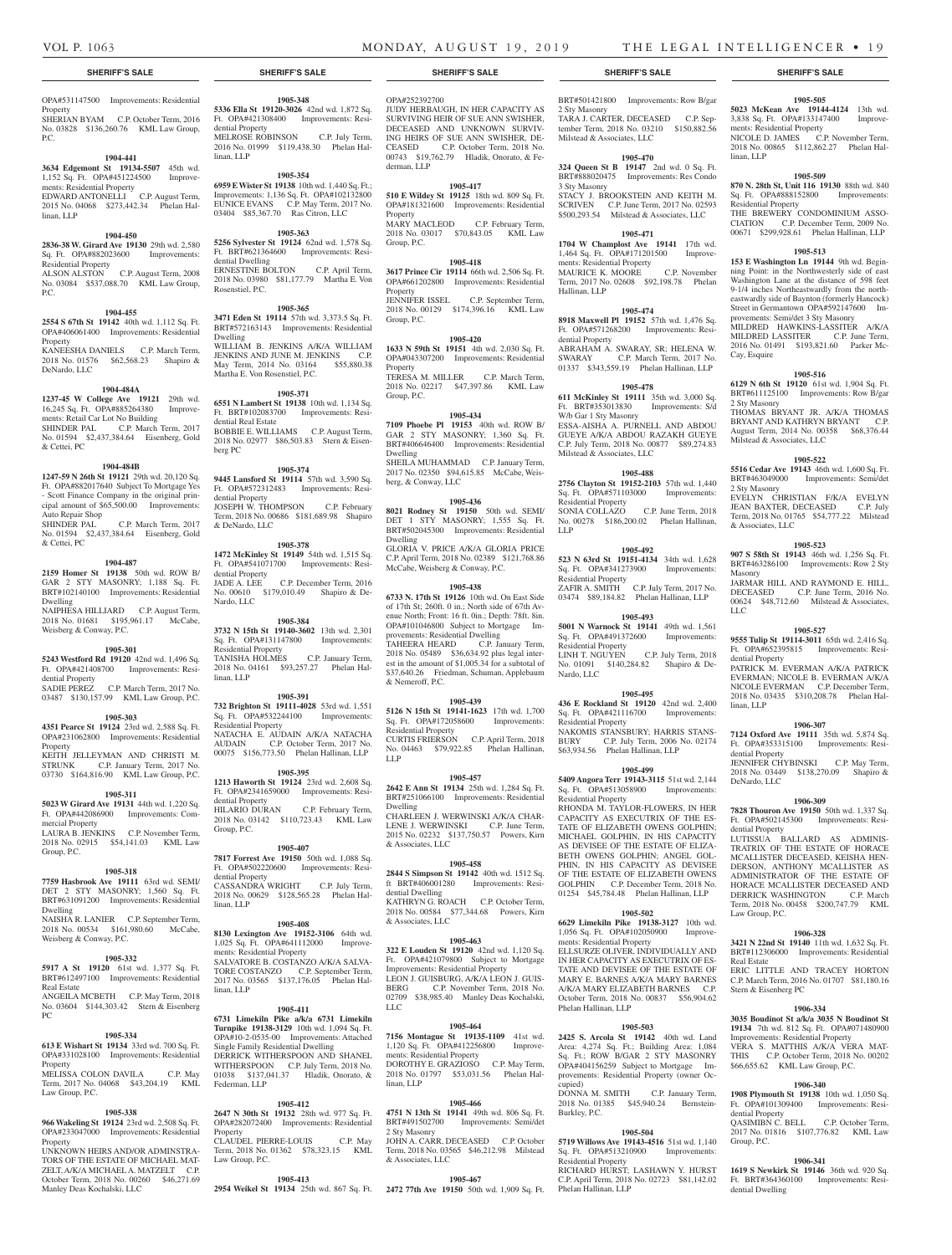# OPA#531147500 Improvements: Residential

**Property** SHERIAN BYAM C.P. October Term, 2016 No. 03828 \$136,260.76 KML Law Group, P.C.

#### **1904-441**

**3634 Edgemont St 19134-5507** 45th wd. 1,152 Sq. Ft. OPA#451224500 Improvements: Residential Property EDWARD ANTONELLI C.P. August Term, 2015 No. 04068 \$273,442.34 Phelan Hallinan, LLP

#### **1904-450**

**2836-38 W. Girard Ave 19130** 29th wd. 2,580 Sq. Ft. OPA#882023600 Improvements: Residential Property ALSON ALSTON C.P. August Term, 2008

No. 03084 \$537,088.70 KML Law Group, P.C.

# **1904-455**

**2554 S 67th St 19142** 40th wd. 1,112 Sq. Ft. OPA#406061400 Improvements: Residential Property KANEESHA DANIELS C.P. March Term, 2018 No. 01576 \$62,568.23 Shapiro & DeNardo, LLC

#### **1904-484A**

**1237-45 W College Ave 19121** 29th wd. 16,245 Sq. Ft. OPA#885264380 Improvements: Retail Car Lot No Building SHINDER PAL C.P. March Term, 2017 No. 01594 \$2,437,384.64 Eisenberg, Gold & Cettei, PC

#### **1904-484B**

**1247-59 N 26th St 19121** 29th wd. 20,120 Sq. Ft. OPA#882017640 Subject To Mortgage Yes - Scott Finance Company in the original principal amount of \$65,500.00 Improvements: Auto Repair Shop

SHINDER PAL C.P. March Term, 2017 No. 01594 \$2,437,384.64 Eisenberg, Gold & Cettei, PC

#### **1904-487**

**2159 Homer St 19138** 50th wd. ROW B/ GAR 2 STY MASONRY; 1,188 Sq. Ft. BRT#102140100 Improvements: Residential Dwelling NAIPHESA HILLIARD C.P. August Term, 2018 No. 01681 \$195,961.17 McCabe, Weisberg & Conway, P.C.

#### **1905-301**

**5243 Westford Rd 19120** 42nd wd. 1,496 Sq. Ft. OPA#421408700 Improvements: Resi-

dential Property SADIE PEREZ C.P. March Term, 2017 No. 03487 \$130,157.99 KML Law Group, P.C.

#### **1905-303 4351 Pearce St 19124** 23rd wd. 2,588 Sq. Ft. OPA#231062800 Improvements: Residential Property KEITH JELLEYMAN AND CHRISTI M.

STRUNK C.P. January Term, 2017 No. 03730 \$164,816.90 KML Law Group, P.C. **1905-311**

#### **5023 W Girard Ave 19131** 44th wd. 1,220 Sq. Ft. OPA#442086900 Improvements: Commercial Property LAURA B. JENKINS C.P. November Term,

2018 No. 02915 \$54,141.03 KML Law Group, P.C.

# **1905-318**

**7759 Hasbrook Ave 19111** 63rd wd. SEMI/ DET 2 STY MASONRY; 1,560 Sq. Ft. BRT#631091200 Improvements: Residential Dwelling

NAISHA R. LANIER C.P. September Term, 2018 No. 00534 \$161,980.60 McCabe, Weisberg & Conway, P.C.

#### **1905-332**

**5917 A St 19120** 61st wd. 1,377 Sq. Ft. BRT#612497100 Improvements: Residential Real Estate ANGEILA MCBETH C.P. May Term, 2018

No. 03604 \$144,303.42 Stern & Eisenberg PC

# **1905-334**

**613 E Wishart St 19134** 33rd wd. 700 Sq. Ft. OPA#331028100 Improvements: Residential Property

MELISSA COLON DAVILA C.P. May Term, 2017 No. 04068 \$43,204.19 KML Law Group, P.C.

#### **1905-338**

**966 Wakeling St 19124** 23rd wd. 2,508 Sq. Ft. OPA#233047000 Improvements: Residential **Property** UNKNOWN HEIRS AND/OR ADMINSTRA-

TORS OF THE ESTATE OF MICHAEL MAT-ZELT, A/K/A MICHAEL A. MATZELT C.P. October Term, 2018 No. 00260 \$46,271.69 Manley Deas Kochalski, LLC

#### OPA#252392700

**1905-348 5336 Ella St 19120-3026** 42nd wd. 1,872 Sq. Ft. OPA#421308400 Improvements: Resi-

MELROSE ROBINSON C.P. July Term, 2016 No. 01999 \$119,438.30 Phelan Hal-

**1905-354 6959 E Wister St 19138** 10th wd. 1,440 Sq. Ft.; Improvements: 1,136 Sq. Ft. OPA#102132800 EUNICE EVANS C.P. May Term, 2017 No. 03404 \$85,367.70 Ras Citron, LLC **1905-363 5256 Sylvester St 19124** 62nd wd. 1,578 Sq. Ft. BRT#621364600 Improvements: Resi-

ERNESTINE BOLTON C.P. April Term, 2018 No. 03980 \$81,177.79 Martha E. Von

**1905-365 3471 Eden St 19114** 57th wd. 3,373.5 Sq. Ft. BRT#572163143 Improvements: Residential

WILLIAM B. JENKINS A/K/A WILLIAM JENKINS AND JUNE M. JENKINS C.P. May Term, 2014 No. 03164 \$55,880.38

**1905-371 6551 N Lambert St 19138** 10th wd. 1,134 Sq. Ft. BRT#102083700 Improvements: Resi-

BOBBIE E. WILLIAMS C.P. August Term, 2018 No. 02977 \$86,503.83 Stern & Eisen-

**1905-374 9445 Lansford St 19114** 57th wd. 3,590 Sq. Ft. OPA#572312483 Improvements: Resi-

JOSEPH W. THOMPSON C.P. February Term, 2018 No. 00686 \$181,689.98 Shapiro

**1905-378 1472 McKinley St 19149** 54th wd. 1,515 Sq. Ft. OPA#541071700 Improvements: Resi-

JADE A. LEE C.P. December Term, 2016 No. 00610 \$179,010.49 Shapiro & De-

**1905-384 3732 N 15th St 19140-3602** 13th wd. 2,301 Sq. Ft. OPA#131147800 Improvements:

TANISHA HOLMES C.P. January Term, 2018 No. 04161 \$93,257.27 Phelan Hal-

**1905-391 732 Brighton St 19111-4028** 53rd wd. 1,551 Sq. Ft. OPA#532244100 Improvements:

NATACHA E. AUDAIN A/K/A NATACHA AUDAIN C.P. October Term, 2017 No. 00075 \$156,773.50 Phelan Hallinan, LLP **1905-395 1213 Haworth St 19124** 23rd wd. 2,608 Sq. Ft. OPA#2341659000 Improvements: Resi-

HILARIO DURAN C.P. February Term, 2018 No. 03142 \$110,723.43 KML Law

**1905-407 7817 Forrest Ave 19150** 50th wd. 1,088 Sq. Ft. OPA#502220600 Improvements: Resi-

CASSANDRA WRIGHT C.P. July Term, 2018 No. 00629 \$128,565.28 Phelan Hal-

**1905-408 8130 Lexington Ave 19152-3106** 64th wd. 1,025 Sq. Ft. OPA#641112000 Improve-

SALVATORE B. COSTANZO A/K/A SALVA-TORE COSTANZO C.P. September Term, 2017 No. 03565 \$137,176.05 Phelan Hal-

**1905-411 6731 Limekiln Pike a/k/a 6731 Limekiln Turnpike 19138-3129** 10th wd. 1,094 Sq. Ft. OPA#10-2-0535-00 Improvements: Attached Single Family Residential Dwelling DERRICK WITHERSPOON AND SHANEL WITHERSPOON C.P. July Term, 2018 No. 01038 \$137,041.37 Hladik, Onorato, &

**1905-412 2647 N 30th St 19132** 28th wd. 977 Sq. Ft. OPA#282072400 Improvements: Residential

CLAUDEL PIERRE-LOUIS C.P. May Term, 2018 No. 01362 \$78,323.15 KML

**1905-413**

Martha E. Von Rosenstiel, P.C.

dential Real Estate

dential Property

& DeNardo, LLC

dential Property

Residential Property

Residential Property

dential Property

dential Property

ments: Residential Property

linan, LLP

linan, LLP

Federman, LLP

Law Group, P.C.

Property

Group, P.C.

Nardo, LLC

linan, LLP

dential Property

dential Dwelling

Rosenstiel, P.C.

Dwelling

berg PC

linan, LLP

JUDY HERBAUGH, IN HER CAPACITY AS SURVIVING HEIR OF SUE ANN SWISHER, DECEASED AND UNKNOWN SURVIV-ING HEIRS OF SUE ANN SWISHER, DE-CEASED C.P. October Term, 2018 No. 00743 \$19,762.79 Hladik, Onorato, & Federman, LLP

#### **1905-417**

**510 E Wildey St 19125** 18th wd. 809 Sq. Ft. OPA#181321600 Improvements: Residential Property MARY MACLEOD C.P. February Term, 2018 No. 03017 \$70,843.05 KML Law Group, P.C.

#### **1905-418**

**3617 Prince Cir 19114** 66th wd. 2,506 Sq. Ft. OPA#661202800 Improvements: Residential **Property** JENNIFER ISSEL C.P. September Term, 2018 No. 00129 \$174,396.16 KML Law Group, P.C.

#### **1905-420**

**1633 N 59th St 19151** 4th wd. 2,030 Sq. Ft. OPA#043307200 Improvements: Residential Property TERESA M. MILLER C.P. March Term, 2018 No. 02217 \$47,397.86 KML Law Group, P.C.

#### **1905-434**

**7109 Phoebe Pl 19153** 40th wd. ROW B/ GAR 2 STY MASONRY; 1,360 Sq. Ft. BRT#406646400 Improvements: Residential Dwelling SHEILA MUHAMMAD C.P. January Term, 2017 No. 02350 \$94,615.85 McCabe, Weisberg, & Conway, LLC

#### **1905-436**

**8021 Rodney St 19150** 50th wd. SEMI/ DET 1 STY MASONRY; 1,555 Sq. Ft. BRT#502045300 Improvements: Residential Dwelling GLORIA V. PRICE A/K/A GLORIA PRICE C.P. April Term, 2018 No. 02389 \$121,768.86 McCabe, Weisberg & Conway, P.C.

**1905-438 6733 N. 17th St 19126** 10th wd. On East Side of 17th St; 260ft. 0 in.; North side of 67th Avenue North; Front: 16 ft. 0in.; Depth: 78ft. 8in. OPA#101046800 Subject to Mortgage Improvements: Residential Dwelling TAHEERA HEARD C.P. January Term, 2018 No. 05489 \$36,634.92 plus legal interest in the amount of \$1,005.34 for a subtotal of \$37,640.26 Friedman, Schuman, Applebaum & Nemeroff, P.C.

#### **1905-439**

**5126 N 15th St 19141-1623** 17th wd. 1,700 Sq. Ft. OPA#172058600 Improvements: Residential Property CURTIS FRIERSON C.P. April Term, 2018 No. 04463 \$79,922.85 Phelan Hallinan, LLP

#### **1905-457**

**2642 E Ann St 19134** 25th wd. 1,284 Sq. Ft. BRT#251066100 Improvements: Residential Dwelling CHARLEEN J. WERWINSKI A/K/A CHAR-LENE J. WERWINSKI C.P. June Term, 2015 No. 02232 \$137,750.57 Powers, Kirn & Associates, LLC

#### **1905-458**

**2844 S Simpson St 19142** 40th wd. 1512 Sq. ft BRT#406001280 Improvements: Residential Dwelling KATHRYN G. ROACH C.P. October Term, 2018 No. 00584 \$77,344.68 Powers, Kirn & Associates, LLC

#### **1905-463**

**322 E Louden St 19120** 42nd wd. 1,120 Sq. Ft. OPA#421079800 Subject to Mortgage Improvements: Residential Property LEON J. GUISBURG, A/K/A LEON J. GUIS-BERG C.P. November Term, 2018 No. 02709 \$38,985.40 Manley Deas Kochalski, LLC

# **1905-464**

**7156 Montague St 19135-1109** 41st wd. **1905-503** 1,120 Sq. Ft. OPA#412256800 ments: Residential Property DOROTHY E. GRAZIOSO C.P. May Term, 2018 No. 01797 \$53,031.56 Phelan Hallinan, LLP

#### **1905-466**

**4751 N 13th St 19141** 49th wd. 806 Sq. Ft. BRT#491502700 Improvements: Semi/det 2 Sty Masonry JOHN A. CARR, DECEASED C.P. October Term, 2018 No. 03565 \$46,212.98 Milstead

#### **1905-467**

& Associates, LLC

**2954 Weikel St 19134** 25th wd. 867 Sq. Ft. **2472 77th Ave 19150** 50th wd. 1,909 Sq. Ft.

### **SHERIFF'S SALE SHERIFF'S SALE SHERIFF'S SALE SHERIFF'S SALE SHERIFF'S SALE**

BRT#501421800 Improvements: Row B/gar 2 Sty Masonry TARA J. CARTER, DECEASED C.P. September Term, 2018 No. 03210 \$150,882.56 Milstead & Associates, LLC

# **1905-470**

**324 Queen St B 19147** 2nd wd. 0 Sq. Ft. BRT#888020475 Improvements: Res Condo 3 Sty Masonry STACY J. BROOKSTEIN AND KEITH M. SCRIVEN C.P. June Term, 2017 No. 02593 \$500,293.54 Milstead & Associates, LLC

# **1905-471**

**1704 W Champlost Ave 19141** 17th wd. 1,464 Sq. Ft. OPA#171201500 Improvements: Residential Property MAURICE K. MOORE C.P. November Term, 2017 No. 02608 \$92,198.78 Phelan Hallinan, LLP

#### **1905-474 8918 Maxwell Pl 19152** 57th wd. 1,476 Sq.

Ft. OPA#571268200 Improvements: Residential Property ABRAHAM A. SWARAY, SR; HELENA W. SWARAY C.P. March Term, 2017 No. 01337 \$343,559.19 Phelan Hallinan, LLP

#### **1905-478**

**611 McKinley St 19111** 35th wd. 3,000 Sq. Ft. BRT#353013830 Improvements: S/d W/b Gar 1 Sty Masonry ESSA-AISHA A. PURNELL AND ABDOU GUEYE A/K/A ABDOU RAZAKH GUEYE C.P. July Term, 2018 No. 00877 \$89,274.83 Milstead & Associates, LLC

# **1905-488**

**2756 Clayton St 19152-2103** 57th wd. 1,440 Sq. Ft. OPA#571103000 Improvements: Residential Property<br>SONIA COLLAZO C.P. June Term, 2018 No. 00278 \$186,200.02 Phelan Hallinan, LLP

#### **1905-492**

**523 N 63rd St 19151-4134** 34th wd. 1,628 Sq. Ft. OPA#341273900 Improvements: Residential Property ZAFIR A. SMITH C.P. July Term, 2017 No. 03474 \$89,184.82 Phelan Hallinan, LLP

#### **1905-493**

**5001 N Warnock St 19141** 49th wd. 1,561 Sq. Ft. OPA#491372600 Improvements: Residential Property LINH T. NGUYEN C.P. July Term, 2018 No. 01091 \$140,284.82 Shapiro & De-Nardo, LLC

### **1905-495**

**436 E Rockland St 19120** 42nd wd. 2,400 Sq. Ft. OPA#421116700 Improvements: Residential Property NAKOMIS STANSBURY; HARRIS STANS-BURY C.P. July Term, 2006 No. 02174 \$63,934.56 Phelan Hallinan, LLP

### **1905-499**

**5409 Angora Terr 19143-3115** 51st wd. 2,144 Sq. Ft. OPA#513058900 Improvements: Residential Property

RHONDA M. TAYLOR-FLOWERS, IN HER CAPACITY AS EXECUTRIX OF THE ES-TATE OF ELIZABETH OWENS GOLPHIN; MICHAEL GOLPHIN, IN HIS CAPACITY AS DEVISEE OF THE ESTATE OF ELIZA-BETH OWENS GOLPHIN; ANGEL GOL-PHIN, IN HIS CAPACITY AS DEVISEE OF THE ESTATE OF ELIZABETH OWENS GOLPHIN C.P. December Term, 2018 No. 01254 \$45,784.48 Phelan Hallinan, LLP

#### **1905-502**

**6629 Limekiln Pike 19138-3127** 10th wd. 1,056 Sq. Ft. OPA#102050900 Improvements: Residential Property ELLSURZE OLIVER, INDIVIDUALLY AND IN HER CAPACITY AS EXECUTRIX OF ES-TATE AND DEVISEE OF THE ESTATE OF MARY E. BARNES A/K/A MARY BARNES A/K/A MARY ELIZABETH BARNES C.P. October Term, 2018 No. 00837 \$56,904.62 Phelan Hallinan, LLP

**2425 S. Arcola St 19142** 40th wd. Land Area: 4,274 Sq. Ft.; Building Area: 1,084 Sq. Ft.; ROW B/GAR 2 STY MASONRY OPA#404156259 Subject to Mortgage Improvements: Residential Property (owner Occupied) DONNA M. SMITH C.P. January Term, 2018 No. 01385 \$45,940.24 Bernstein-Burkley, P.C.

#### **1905-504**

**5719 Willows Ave 19143-4516** 51st wd. 1,140 Sq. Ft. OPA#513210900 Improvements: Property RICHARD HURST; LASHAWN Y. HURST C.P. April Term, 2018 No. 02723 \$81,142.02 Phelan Hallinan, LLP

**1905-505 5023 McKean Ave 19144-4124** 13th wd. 3,838 Sq. Ft. OPA#133147400 Improve-

ments: Residential Property NICOLE D. JAMES C.P. November Term, 2018 No. 00865 \$112,862.27 Phelan Hallinan, LLP

# **1905-509**

Cay, Esquire

2 Sty Masonry

2 Sty Masonry

& Associates, LLC

dential Property

linan, LLP

dential Property

DeNardo, LLC

dential Property

Law Group, P.C.

Stern & Eisenberg PC

dential Property

dential Dwelling

Group, P.C.

Real Estate

Masonry

LLC

Milstead & Associates, LLC

**870 N. 28th St, Unit 116 19130** 88th wd. 840 Sq. Ft. OPA#888152800 Improvements: Residential Property THE BREWERY CONDOMINIUM ASSO-CIATION C.P. December Term, 2009 No. 00671 \$299,928.61 Phelan Hallinan, LLP

**1905-513 153 E Washington Ln 19144** 9th wd. Beginning Point: in the Northwesterly side of east Washington Lane at the distance of 598 feet 9-1/4 inches Northeastwardly from the northeastwardly side of Baynton (formerly Hancock) Street in Germantown OPA#592147600 Improvements: Semi/det 3 Sty Masonry MILDRED HAWKINS-LASSITER A/K/A MILDRED LASSITER C.P. June Term, 2016 No. 01491 \$193,821.60 Parker Mc-

**1905-516 6129 N 6th St 19120** 61st wd. 1,904 Sq. Ft. BRT#611125100 Improvements: Row B/gar

THOMAS BRYANT JR. A/K/A THOMAS BRYANT AND KATHRYN BRYANT C.P. August Term, 2014 No. 00358 \$68,376.44

**1905-522 5516 Cedar Ave 19143** 46th wd. 1,600 Sq. Ft. BRT#463049000 Improvements: Semi/det

EVELYN CHRISTIAN F/K/A EVELYN JEAN BAXTER, DECEASED C.P. July Term, 2018 No. 01765 \$54,777.22 Milstead

**1905-523 907 S 58th St 19143** 46th wd. 1,256 Sq. Ft. BRT#463286100 Improvements: Row 2 Sty

JARMAR HILL AND RAYMOND E. HILL, DECEASED C.P. June Term, 2016 No. 00624 \$48,712.60 Milstead & Associates,

**1905-527 9555 Tulip St 19114-3011** 65th wd. 2,416 Sq. Ft. OPA#652395815 Improvements: Resi-

PATRICK M. EVERMAN A/K/A PATRICK EVERMAN; NICOLE B. EVERMAN A/K/A NICOLE EVERMAN C.P. December Term, 2018 No. 03435 \$310,208.78 Phelan Hal-

**1906-307 7124 Oxford Ave 19111** 35th wd. 5,874 Sq. Ft. OPA#353315100 Improvements: Resi-

JENNIFER CHYBINSKI C.P. May Term, 2018 No. 03449 \$138,270.09 Shapiro &

**1906-309 7828 Thouron Ave 19150** 50th wd. 1,337 Sq. Ft. OPA#502145300 Improvements: Resi-

LUTISSUA BALLARD AS ADMINIS-TRATRIX OF THE ESTATE OF HORACE MCALLISTER DECEASED, KEISHA HEN-DERSON, ANTHONY MCALLISTER AS ADMINISTRATOR OF THE ESTATE OF HORACE MCALLISTER DECEASED AND DERRICK WASHINGTON C.P. March Term, 2018 No. 00458 \$200,747.79 KML

**1906-328 3421 N 22nd St 19140** 11th wd. 1,632 Sq. Ft. BRT#112306000 Improvements: Residential

ERIC LITTLE AND TRACEY HORTON C.P. March Term, 2016 No. 01707 \$81,180.16

**1906-334 3035 Boudinot St a/k/a 3035 N Boudinot St 19134** 7th wd. 812 Sq. Ft. OPA#071480900 Improvements: Residential Property VERA S. MATTHIS A/K/A VERA MAT-THIS C.P. October Term, 2018 No. 00202 \$66,655.62 KML Law Group, P.C.

**1906-340 1908 Plymouth St 19138** 10th wd. 1,050 Sq. Ft. OPA#101309400 Improvements: Resi-

QASIMIBN C. BELL C.P. October Term, 2017 No. 01816 \$107,776.82 KML Law

**1906-341 1619 S Newkirk St 19146** 36th wd. 920 Sq. Ft. BRT#364360100 Improvements: Resi-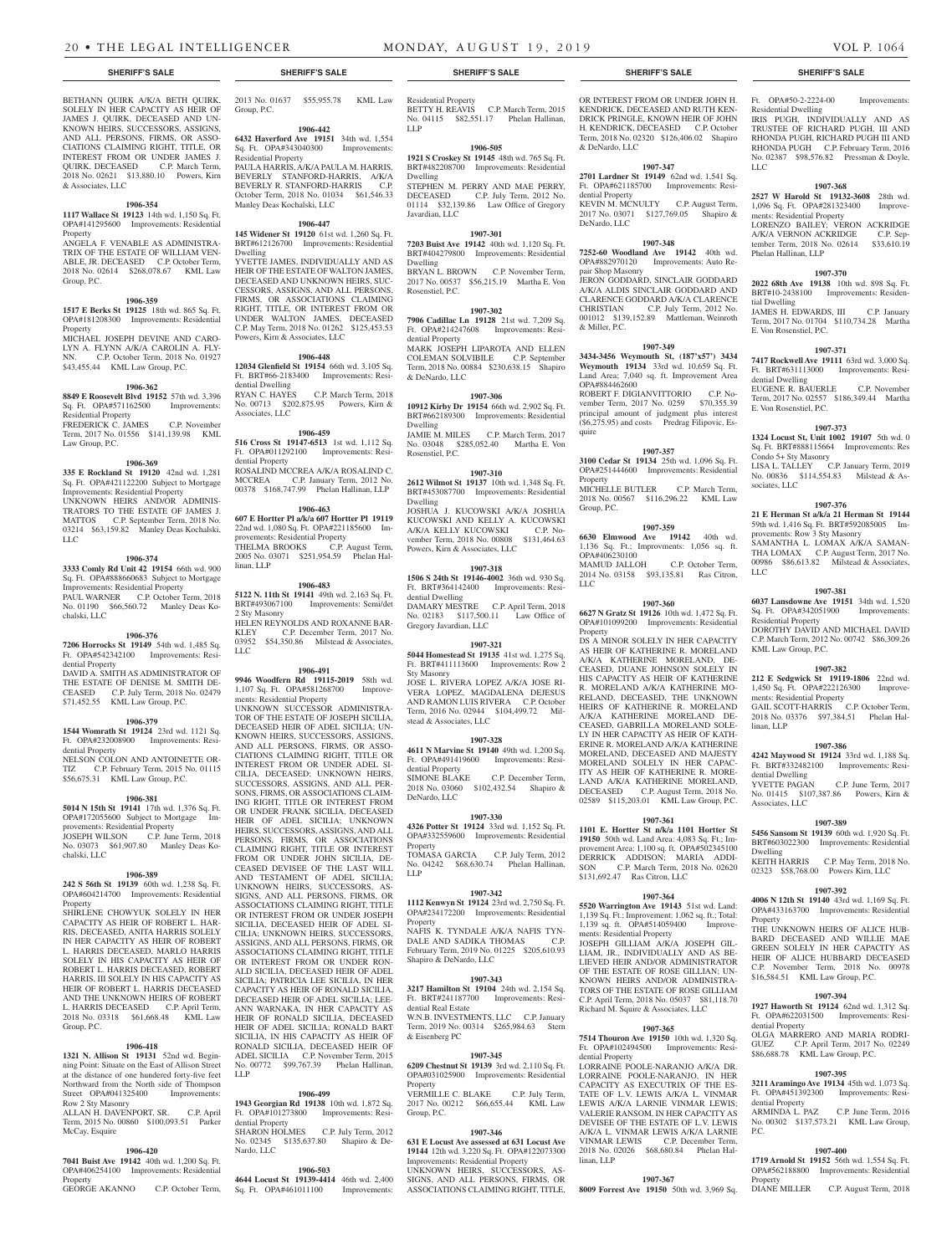BETHANN QUIRK A/K/A BETH QUIRK, SOLELY IN HER CAPACITY AS HEIR OF JAMES J. QUIRK, DECEASED AND UN-KNOWN HEIRS, SUCCESSORS, ASSIGNS, AND ALL PERSONS, FIRMS, OR ASSO-CIATIONS CLAIMING RIGHT, TITLE, OR INTEREST FROM OR UNDER JAMES J. QUIRK, DECEASED C.P. March Term, 2018 No. 02621 \$13,880.10 Powers, Kirn & Associates, LLC

# **1906-354**

**1117 Wallace St 19123** 14th wd. 1,150 Sq. Ft. OPA#141295600 Improvements: Residential Property ANGELA F. VENABLE AS ADMINISTRA-

TRIX OF THE ESTATE OF WILLIAM VEN-ABLE, JR. DECEASED C.P. October Term, 2018 No. 02614 \$268,078.67 KML Law Group, P.C.

#### **1906-359**

**1517 E Berks St 19125** 18th wd. 865 Sq. Ft. OPA#181208300 Improvements: Residential Property MICHAEL JOSEPH DEVINE AND CARO-LYN A. FLYNN A/K/A CAROLIN A. FLY-NN. C.P. October Term, 2018 No. 01927 \$43,455.44 KML Law Group, P.C.

#### **1906-362**

**8849 E Roosevelt Blvd 19152** 57th wd. 3,396 Sq. Ft. OPA#571162500 Improvements: Residential Property FREDERICK C. JAMES C.P. November Term, 2017 No. 01556 \$141,139.98 KML Law Group, P.C.

### **1906-369**

**335 E Rockland St 19120** 42nd wd. 1,281 Sq. Ft. OPA#421122200 Subject to Mortgage Improvements: Residential Property UNKNOWN HEIRS AND/OR ADMINIS-TRATORS TO THE ESTATE OF JAMES J. MATTOS C.P. September Term, 2018 No. 03214 \$63,159.82 Manley Deas Kochalski, LLC.

#### **1906-374**

**3333 Comly Rd Unit 42 19154** 66th wd. 900 Sq. Ft. OPA#888660683 Subject to Mortgage Improvements: Residential Property PAUL WARNER C.P. October Term, 2018 No. 01190 \$66,560.72 Manley Deas Kochalski, LLC

#### **1906-376**

**7206 Horrocks St 19149** 54th wd. 1,485 Sq. Ft. OPA#542342100 Improvements: Residential Property DAVID A. SMITH AS ADMINISTRATOR OF THE ESTATE OF DENISE M. SMITH DE-CEASED C.P. July Term, 2018 No. 02479 \$71,452.55 KML Law Group, P.C.

#### **1906-379**

**1544 Womrath St 19124** 23rd wd. 1121 Sq. Ft. OPA#232008900 Improvements: Residential Property

NELSON COLON AND ANTOINETTE OR-TIZ C.P. February Term, 2015 No. 01115 \$56,675.31 KML Law Group, P.C.

#### **1906-381**

**5014 N 15th St 19141** 17th wd. 1,376 Sq. Ft. OPA#172055600 Subject to Mortgage Improvements: Residential Property JOSEPH WILSON C.P. June Term, 2018 No. 03073 \$61,907.80 Manley Deas Kochalski, LLC

### **1906-389**

**242 S 56th St 19139** 60th wd. 1,238 Sq. Ft. OPA#604214700 Improvements: Residential Property

SHIRLENE CHOWYUK SOLELY IN HER CAPACITY AS HEIR OF ROBERT L. HAR-RIS, DECEASED, ANITA HARRIS SOLELY IN HER CAPACITY AS HEIR OF ROBERT L. HARRIS DECEASED, MARLO HARRIS SOLELY IN HIS CAPACITY AS HEIR OF ROBERT L. HARRIS DECEASED, ROBERT HARRIS, III SOLELY IN HIS CAPACITY AS HEIR OF ROBERT L. HARRIS DECEASED AND THE UNKNOWN HEIRS OF ROBERT L. HARRIS DECEASED C.P. April Term, 2018 No. 03318 \$61,668.48 KML Law Group, P.C.

# **1906-418**

**1321 N. Allison St 19131** 52nd wd. Beginning Point: Situate on the East of Allison Street at the distance of one hundered forty-five feet Northward from the North side of Thompson Street OPA#041325400 Improvements: Row 2 Sty Masonry

ALLAN H. DAVENPORT, SR. C.P. April Term, 2015 No. 00860 \$100,093.51 Parker McCay, Esquire

#### **1906-420**

**7041 Buist Ave 19142** 40th wd. 1,200 Sq. Ft. OPA#406254100 Improvements: Residential Property<br>GEORGE AKANNO

C.P. October Term,

2013 No. 01637 \$55,955.78 KML Law Group, P.C.

# **1906-442**

**6432 Haverford Ave 19151** 34th wd. 1,554 Sq. Ft. OPA#343040300 Improvements: Residential Property PAULA HARRIS, A/K/A PAULA M. HARRIS, BEVERLY STANFORD-HARRIS, A/K/A BEVERLY R. STANFORD-HARRIS C.P. October Term, 2018 No. 01034 \$61,546.33 Manley Deas Kochalski, LLC

#### **1906-447**

**145 Widener St 19120** 61st wd. 1,260 Sq. Ft. BRT#612126700 Improvements: Residential Dwelling YVETTE JAMES, INDIVIDUALLY AND AS

HEIR OF THE ESTATE OF WALTON JAMES, DECEASED AND UNKNOWN HEIRS, SUC-CESSORS, ASSIGNS, AND ALL PERSONS, FIRMS, OR ASSOCIATIONS CLAIMING RIGHT, TITLE, OR INTEREST FROM OR UNDER WALTON JAMES, DECEASED C.P. May Term, 2018 No. 01262 \$125,453.53 Powers, Kirn & Associates, LLC

#### **1906-448**

**12034 Glenfield St 19154** 66th wd. 3,105 Sq. Ft. BRT#66-2183400 Improvements: Residential Dwelling RYAN C. HAYES C.P. March Term, 2018 No. 00713 \$202,875.95 Powers, Kirn & Associates, LLC

#### **1906-459**

**516 Cross St 19147-6513** 1st wd. 1,112 Sq. Ft. OPA#011292100 Improvements: Residential Property ROSALIND MCCREA A/K/A ROSALIND C. MCCREA C.P. January Term, 2012 No. 00378 \$168,747.99 Phelan Hallinan, LLP

# **1906-463**

**607 E Hortter Pl a/k/a 607 Hortter Pl 19119**  22nd wd. 1,080 Sq. Ft. OPA#221185600 Improvements: Residential Property THELMA BROOKS C.P. August Term, 2005 No. 03071 \$251,954.59 Phelan Hallinan, LLP

#### **1906-483**

**5122 N. 11th St 19141** 49th wd. 2,163 Sq. Ft. BRT#493067100 Improvements: Semi/det 2 Sty Masonry HELEN REYNOLDS AND ROXANNE BAR-KLEY C.P. December Term, 2017 No. 03952 \$54,350.86 Milstead & Associates, LLC

#### **1906-491**

**9946 Woodfern Rd 19115-2019** 58th wd. 1,107 Sq. Ft. OPA#581268700 Improvements: Residential Property

UNKNOWN SUCCESSOR ADMINISTRA-TOR OF THE ESTATE OF JOSEPH SICILIA, DECEASED HEIR OF ADEL SICILIA; UN-KNOWN HEIRS, SUCCESSORS, ASSIGNS, AND ALL PERSONS, FIRMS, OR ASSO-CIATIONS CLAIMING RIGHT, TITLE OR INTEREST FROM OR UNDER ADEL SI-CILIA, DECEASED; UNKNOWN HEIRS, SUCCESSORS, ASSIGNS, AND ALL PER-SONS, FIRMS, OR ASSOCIATIONS CLAIM-ING RIGHT, TITLE OR INTEREST FROM OR UNDER FRANK SICILIA, DECEASED HEIR OF ADEL SICILIA; UNKNOWN HEIRS, SUCCESSORS, ASSIGNS, AND ALL PERSONS, FIRMS, OR ASSOCIATIONS CLAIMING RIGHT, TITLE OR INTEREST FROM OR UNDER JOHN SICILIA, DE-CEASED DEVISEE OF THE LAST WILL AND TESTAMENT OF ADEL SICILIA; UNKNOWN HEIRS, SUCCESSORS, AS-SIGNS, AND ALL PERSONS, FIRMS, OR ASSOCIATIONS CLAIMING RIGHT, TITLE OR INTEREST FROM OR UNDER JOSEPH SICILIA, DECEASED HEIR OF ADEL SI-CILIA; UNKNOWN HEIRS, SUCCESSORS, ASSIGNS, AND ALL PERSONS, FIRMS, OR ASSOCIATIONS CLAIMING RIGHT, TITLE OR INTEREST FROM OR UNDER RON-ALD SICILIA, DECEASED HEIR OF ADEL SICILIA; PATRICIA LEE SICILIA, IN HER CAPACITY AS HEIR OF RONALD SICILIA, DECEASED HEIR OF ADEL SICILIA; LEE-ANN WARNAKA, IN HER CAPACITY AS HEIR OF RONALD SICILIA, DECEASED HEIR OF ADEL SICILIA; RONALD BART SICILIA, IN HIS CAPACITY AS HEIR OF RONALD SICILIA, DECEASED HEIR OF ADEL SICILIA C.P. November Term, 2015 No. 00772 \$99,767.39 Phelan Hallinan, LLP

### **1906-499**

**1943 Georgian Rd 19138** 10th wd. 1,872 Sq. Ft. OPA#101273800 Improvements: Residential Property SHARON HOLMES C.P. July Term, 2012 No. 02345 \$135,637.80 Shapiro & De-Nardo, LLC

# **1906-503**

**4644 Locust St 19139-4414** 46th wd. 2,400 Sq. Ft. OPA#461011100 Improvements:

Residential Property BETTY H. REAVIS C.P. March Term, 2015 No. 04115 \$82,551.17 Phelan Hallinan, LLP

#### **1906-505 1921 S Croskey St 19145** 48th wd. 765 Sq. Ft. BRT#482208700 Improvements: Residential Dwelling

STEPHEN M. PERRY AND MAE PERRY, DECEASED C.P. July Term, 2012 No. 01114 \$32,139.86 Law Office of Gregory Javardian, LLC

#### **1907-301 7203 Buist Ave 19142** 40th wd. 1,120 Sq. Ft.

BRT#404279800 Improvements: Residential Dwelling BRYAN L. BROWN C.P. November Term, 2017 No. 00537 \$56,215.19 Martha E. Von Rosenstiel, P.C.

# **1907-302**

**7906 Cadillac Ln 19128** 21st wd. 7,209 Sq. Ft. OPA#214247608 Improvements: Residential Property MARK JOSEPH LIPAROTA AND ELLEN COLEMAN SOLVIBILE C.P. September Term, 2018 No. 00884 \$230,638.15 Shapiro & DeNardo, LLC

# **1907-306**

**10912 Kirby Dr 19154** 66th wd. 2,902 Sq. Ft. BRT#662189300 Improvements: Residential Dwelling JAMIE M. MILES C.P. March Term, 2017 No. 03048 \$285,052.40 Martha E. Von Rosenstiel, P.C.

# **1907-310**

**2612 Wilmot St 19137** 10th wd. 1,348 Sq. Ft. BRT#453087700 Improvements: Residential Dwelling JOSHUA J. KUCOWSKI A/K/A JOSHUA KUCOWSKI AND KELLY A. KUCOWSKI A/K/A KELLY KUCOWSKI C.P. November Term, 2018 No. 00808 \$131,464.63 Powers, Kirn & Associates, LLC

# **1907-318**

**1506 S 24th St 19146-4002** 36th wd. 930 Sq. Ft. BRT#364142400 Improvements: Residential Dwelling DAMARY MESTRE C.P. April Term, 2018 No. 02183 \$117,500.11 Law Office of Gregory Javardian, LLC

#### **1907-321**

**5044 Homestead St 19135** 41st wd. 1,275 Sq. Ft. BRT#411113600 Improvements: Row 2 Sty Masonry

JOSE L. RIVERA LOPEZ A/K/A JOSE RI-VERA LOPEZ, MAGDALENA DEJESUS AND RAMON LUIS RIVERA C.P. October Term, 2016 No. 02944 \$104,499.72 Milstead & Associates, LLC

#### **1907-328**

**4611 N Marvine St 19140** 49th wd. 1,200 Sq. Ft. OPA#491419600 Improvements: Residential Property SIMONE BLAKE C.P. December Term,

2018 No. 03060 \$102,432.54 Shapiro & DeNardo, LLC

#### **1907-330**

**4326 Potter St 19124** 33rd wd. 1,152 Sq. Ft. OPA#332559600 Improvements: Residential Property TOMASA GARCIA C.P. July Term, 2012

No. 04242 \$68,630.74 Phelan Hallinan, LLP

#### **1907-342**

**1112 Kenwyn St 19124** 23rd wd. 2,750 Sq. Ft. OPA#234172200 Improvements: Residential Property NAFIS K. TYNDALE A/K/A NAFIS TYN-<br>DALE AND SADIKA THOMAS C.P.

DALE AND SADIKA THOMAS February Term, 2019 No. 01225 \$205,610.93 Shapiro & DeNardo, LLC

# **1907-343**

**3217 Hamilton St 19104** 24th wd. 2,154 Sq. Ft. BRT#241187700 Improvements: Residential Real Estate

W.N.B. INVESTMENTS, LLC C.P. January Term, 2019 No. 00314 \$265,984.63 Stern & Eisenberg PC

#### **1907-345**

**6209 Chestnut St 19139** 3rd wd. 2,110 Sq. Ft. OPA#031025900 Improvements: Residential Property VERMILLE C. BLAKE C.P. July Term,

2017 No. 00212 \$66,655.44 KML Law Group, P.C.

#### **1907-346**

**631 E Locust Ave assessed at 631 Locust Ave 19144** 12th wd. 3,220 Sq. Ft. OPA#122073300 Improvements: Residential Property UNKNOWN HEIRS, SUCCESSORS AS-SIGNS, AND ALL PERSONS, FIRMS, OR ASSOCIATIONS CLAIMING RIGHT, TITLE,

#### **SHERIFF'S SALE SHERIFF'S SALE SHERIFF'S SALE SHERIFF'S SALE SHERIFF'S SALE**

OR INTEREST FROM OR UNDER JOHN H. KENDRICK, DECEASED AND RUTH KEN-DRICK PRINGLE, KNOWN HEIR OF JOHN H. KENDRICK, DECEASED C.P. October Term, 2018 No. 02320 \$126,406.02 Shapiro & DeNardo, LLC

Ft. OPA#50-2-2224-00 Improvements:

IRIS PUGH, INDIVIDUALLY AND AS TRUSTEE OF RICHARD PUGH, III AND RHONDA PUGH, RICHARD PUGH III AND RHONDA PUGH C.P. February Term, 2016 No. 02387 \$98,576.82 Pressman & Doyle,

**1907-368 2527 W Harold St 19132-3608** 28th wd. 1,096 Sq. Ft. OPA#281323400 Improve-

LORENZO BAILEY; VERON ACKRIDGE A/K/A VERNON ACKRIDGE C.P. September Term, 2018 No. 02614 \$33,610.19

**1907-370 2022 68th Ave 19138** 10th wd. 898 Sq. Ft. BRT#10-2438100 Improvements: Residen-

JAMES H. EDWARDS, III C.P. January Term, 2017 No. 01704 \$110,734.28 Martha

**1907-371 7417 Rockwell Ave 19111** 63rd wd. 3,000 Sq. Ft. BRT#631113000 Improvements: Resi-

EUGENE R. BAUERLE C.P. November Term, 2017 No. 02557 \$186,349.44 Martha

**1907-373 1324 Locust St, Unit 1002 19107** 5th wd. 0 Sq. Ft. BRT#888115664 Improvements: Res Condo 5+ Sty Masonry<br>
LISA L. TALLEY C.P. January Term, 2019 LISA L. TALLEY C.P. January Term, 2019 No. 00836 \$114,554.83 Milstead & As-

**1907-376 21 E Herman St a/k/a 21 Herman St 19144**  59th wd. 1,416 Sq. Ft. BRT#592085005 Im-

SAMANTHA L. LOMAX A/K/A SAMAN-THA LOMAX C.P. August Term, 2017 No. 00986 \$86,613.82 Milstead & Associates,

**1907-381 6037 Lansdowne Ave 19151** 34th wd. 1,520 Sq. Ft. OPA#342051900 Improvements:

DOROTHY DAVID AND MICHAEL DAVID C.P. March Term, 2012 No. 00742 \$86,309.26

**1907-382 212 E Sedgwick St 19119-1806** 22nd wd. 1,450 Sq. Ft. OPA#222126300 Improve-

GAIL SCOTT-HARRIS C.P. October Term, 2018 No. 03376 \$97,384.51 Phelan Hal-

**1907-386 4242 Maywood St 19124** 33rd wd. 1,188 Sq. Ft. BRT#332482100 Improvements: Resi-

No. 01415 \$107,387.86 Powers, Kirn &

**1907-389 5456 Sansom St 19139** 60th wd. 1,920 Sq. Ft. BRT#603022300 Improvements: Residential

KEITH HARRIS C.P. May Term, 2018 No. 02323 \$58,768.00 Powers Kirn, LLC **1907-392 4006 N 12th St 19140** 43rd wd. 1,169 Sq. Ft. OPA#433163700 Improvements: Residential

THE UNKNOWN HEIRS OF ALICE HUB-BARD DECEASED AND WILLIE MAE GREEN SOLELY IN HER CAPACITY AS HEIR OF ALICE HUBBARD DECEASED C.P. November Term, 2018 No. 00978 \$16,584.51 KML Law Group, P.C.

**1907-394 1927 Haworth St 19124** 62nd wd. 1,312 Sq. Ft. OPA#622031500 Improvements: Resi-

OLGA MARRERO AND MARIA RODRI- $GUET$   $CP$  April Term, 2017 \$86,688.78 KML Law Group, P.C.

**1907-395 3211 Aramingo Ave 19134** 45th wd. 1,073 Sq. Ft. OPA#451392300 Improvements: Resi-

No. 00302 \$137,573.21 KML Law Group,

**1907-400 1719 Arnold St 19152** 56th wd. 1,554 Sq. Ft. OPA#562188800 Improvements: Residential

DIANE MILLER C.P. August Term, 2018

C.P. June Term, 2016

C.P. June Term, 2017

provements: Row 3 Sty Masonry

Residential Dwelling

ments: Residential Property

Phelan Hallinan, LLP

E. Von Rosenstiel, P.C.

dential Dwelling<br>EUGENE R. BAUERLE

E. Von Rosenstiel, P.C.

sociates, LLC

LLC

Residential Property

KML Law Group, P.C.

ments: Residential Property

linan, LLP

dential Dwelling<br>YVETTE PAGAN

Associates, LLC

Dwelling

Property

dential Property

dential Property<br>ARMINDA L. PAZ

 $P C$ 

Property

tial Dwelling

LLC

#### **1907-347**

**2701 Lardner St 19149** 62nd wd. 1,541 Sq. Ft. OPA#621185700 Improvements: Residential Property

KEVIN M. MCNULTY C.P. August Term, 2017 No. 03071 \$127,769.05 Shapiro & DeNardo, LLC

# **1907-348**

**7252-60 Woodland Ave 19142** 40th wd. OPA#882970120 Improvements: Auto Repair Shop Masonry JERON GODDARD, SINCLAIR GODDARD A/K/A ALDIS SINCLAIR GODDARD AND CLARENCE GODDARD A/K/A CLARENCE CHRISTIAN C.P. July Term, 2012 No. 001012 \$139,152.89 Mattleman, Weinroth & Miller, P.C.

### **1907-349**

**3434-3456 Weymouth St, (187'x57') 3434 Weymouth 19134** 33rd wd. 10,659 Sq. Ft. Land Area; 7,040 sq. ft. Improvement Area OPA#884462600 ROBERT F. DIGIANVITTORIO C.P. November Term, 2017 No. 0259 \$70,355.39 principal amount of judgment plus interest  $($ \$6,275.95) and costs Predrag Filipovic, Esquire

#### **1907-357**

**3100 Cedar St 19134** 25th wd. 1,096 Sq. Ft. OPA#251444600 Improvements: Residential **Property** MICHELLE BUTLER C.P. March Term, 2018 No. 00567 \$116,296.22 KML Law Group, P.C.

#### **1907-359**

**6630 Elmwood Ave 19142** 40th wd. 1,136 Sq. Ft.; Improvments: 1,056 sq. ft. OPA#406230100 MAMUD JALLOH C.P. October Term, 2014 No. 03158 \$93,135.81 Ras Citron, LLC

**6627 N Gratz St 19126** 10th wd. 1,472 Sq. Ft. OPA#101099200 Improvements: Residential

DS A MINOR SOLELY IN HER CAPACITY AS HEIR OF KATHERINE R. MORELAND A/K/A KATHERINE MORELAND, DE-CEASED, DUANE JOHNSON SOLELY IN HIS CAPACITY AS HEIR OF KATHERINE R. MORELAND A/K/A KATHERINE MO-RELAND, DECEASED, THE UNKNOWN HEIRS OF KATHERINE R. MORELAND A/K/A KATHERINE MORELAND DE-CEASED, GABRILLA MORELAND SOLE-LY IN HER CAPACITY AS HEIR OF KATH-ERINE R. MORELAND A/K/A KATHERINE MORELAND, DECEASED AND MAJESTY MORELAND SOLELY IN HER CAPAC-ITY AS HEIR OF KATHERINE R. MORE-LAND A/K/A KATHERINE MORELAND, DECEASED C.P. August Term, 2018 No. 02589 \$115,203.01 KML Law Group, P.C. **1907-361 1101 E. Hortter St n/k/a 1101 Hortter St 19150** 50th wd. Land Area: 4,083 Sq. Ft.; Improvement Area: 1,100 sq. ft. OPA#502345100 DERRICK ADDISON; MARIA ADDI-SON C.P. March Term, 2018 No. 02620

#### **1907-360**

\$131,692.47 Ras Citron, LLC

ments: Residential Property

dential Property

linan, LLP

**1907-364 5520 Warrington Ave 19143** 51st wd. Land: 1,139 Sq. Ft.; Improvement: 1,062 sq. ft.; Total: 1,139 sq. ft. OPA#514059400 Improve-

JOSEPH GILLIAM A/K/A JOSEPH GIL-LIAM, JR., INDIVIDUALLY AND AS BE-LIEVED HEIR AND/OR ADMINISTRATOR OF THE ESTATE OF ROSE GILLIAN; UN-KNOWN HEIRS AND/OR ADMINISTRA-TORS OF THE ESTATE OF ROSE GILLIAM C.P. April Term, 2018 No. 05037 \$81,118.70 Richard M. Squire & Associates, LLC

**1907-365 7514 Thouron Ave 19150** 10th wd. 1,320 Sq. Ft. OPA#102494500 Improvements: Resi-

LORRAINE POOLE-NARANJO A/K/A DR. LORRAINE POOLE-NARANJO, IN HER CAPACITY AS EXECUTRIX OF THE ES-TATE OF L.V. LEWIS A/K/A L. VINMAR LEWIS A/K/A LARNIE VINMAR LEWIS; VALERIE RANSOM, IN HER CAPACITY AS DEVISEE OF THE ESTATE OF L.V. LEWIS A/K/A L. VINMAR LEWIS A/K/A LARNIE VINMAR LEWIS C.P. December Term, 2018 No. 02026 \$68,680.84 Phelan Hal-

**1907-367 8009 Forrest Ave 19150** 50th wd. 3,969 Sq.

Property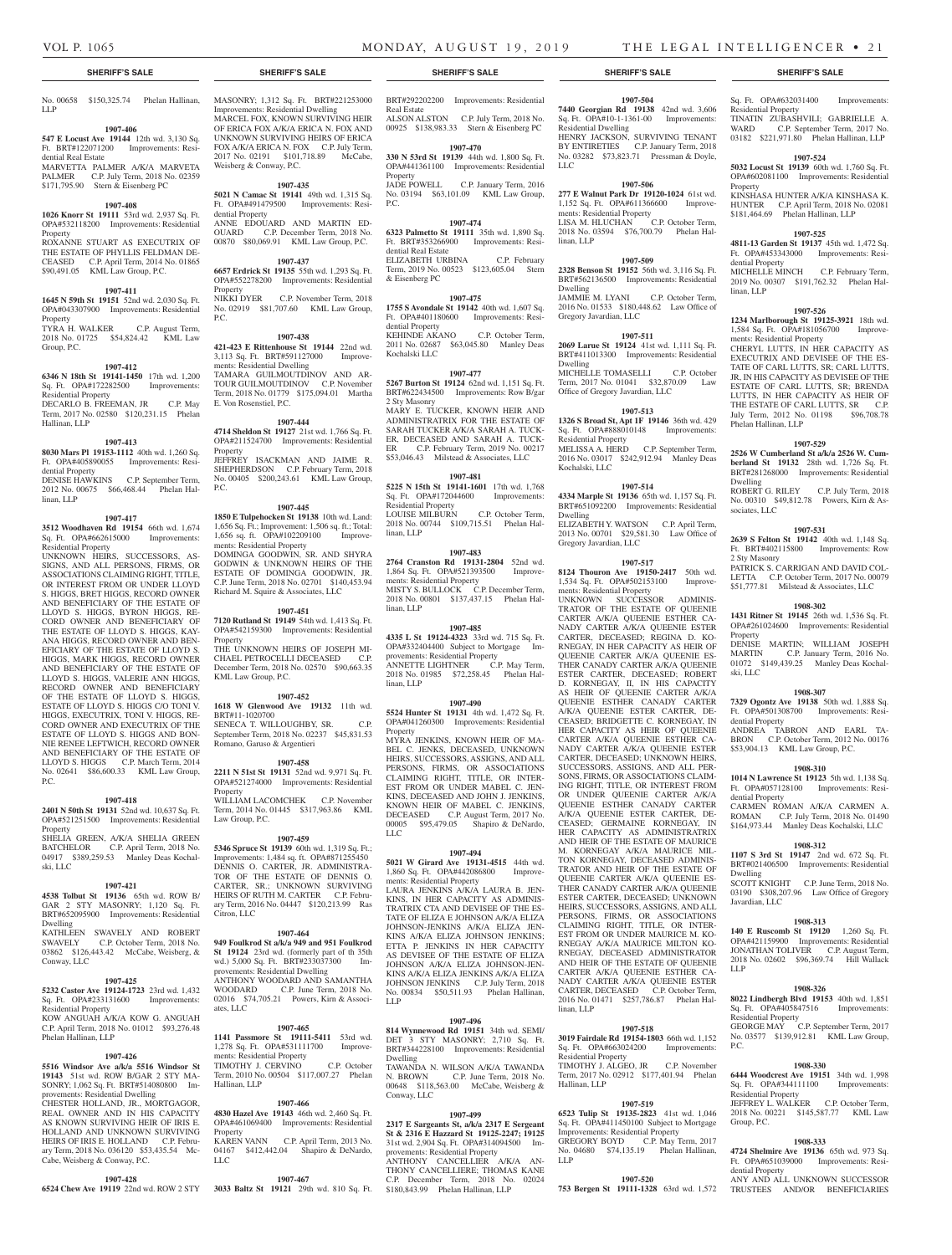LLP

#### **1907-406**

**547 E Locust Ave 19144** 12th wd. 3,130 Sq. Ft. BRT#122071200 Improvements: Residential Real Estate MARVETTA PALMER A/K/A MARVETA PALMER C.P. July Term, 2018 No. 02359 \$171,795.90 Stern & Eisenberg PC

# **1907-408**

**1026 Knorr St 19111** 53rd wd. 2,937 Sq. Ft. OPA#532118200 Improvements: Residential Property ROXANNE STUART AS EXECUTRIX OF THE ESTATE OF PHYLLIS FELDMAN DE-CEASED C.P. April Term, 2014 No. 01865

#### **1907-411**

\$90,491.05 KML Law Group, P.C.

**1645 N 59th St 19151** 52nd wd. 2,030 Sq. Ft. OPA#043307900 Improvements: Residential Property TYRA H. WALKER C.P. August Term, 2018 No. 01725 \$54,824.42 KML Law Group, P.C.

#### **1907-412**

**6346 N 18th St 19141-1450** 17th wd. 1,200 Sq. Ft. OPA#172282500 Improvements: Residential Property DECARLO B. FREEMAN, JR C.P. May Term, 2017 No. 02580 \$120,231.15 Phelan

#### **1907-413**

Hallinan, LLP

**8030 Mars Pl 19153-1112** 40th wd. 1,260 Sq. Ft. OPA#405890055 Improvements: Resi-

dential Property DENISE HAWKINS C.P. September Term, 2012 No. 00675 \$66,468.44 Phelan Hallinan, LLP

#### **1907-417**

**3512 Woodhaven Rd 19154** 66th wd. 1,674 Sq. Ft. OPA#662615000 Improvements: Residential Property

UNKNOWN HEIRS, SUCCESSORS, AS-SIGNS, AND ALL PERSONS, FIRMS, OR ASSOCIATIONS CLAIMING RIGHT, TITLE, OR INTEREST FROM OR UNDER LLOYD S. HIGGS, BRET HIGGS, RECORD OWNER AND BENEFICIARY OF THE ESTATE OF LLOYD S. HIGGS, BYRON HIGGS, RE-CORD OWNER AND BENEFICIARY OF THE ESTATE OF LLOYD S. HIGGS, KAY-ANA HIGGS, RECORD OWNER AND BEN-EFICIARY OF THE ESTATE OF LLOYD S. HIGGS, MARK HIGGS, RECORD OWNER AND BENEFICIARY OF THE ESTATE OF LLOYD S. HIGGS, VALERIE ANN HIGGS, RECORD OWNER AND BENEFICIARY OF THE ESTATE OF LLOYD S. HIGGS, ESTATE OF LLOYD S. HIGGS C/O TONI V. HIGGS, EXECUTRIX, TONI V. HIGGS, RE-CORD OWNER AND EXECUTRIX OF THE ESTATE OF LLOYD S. HIGGS AND BON-NIE RENEE LEFTWICH, RECORD OWNER AND BENEFICIARY OF THE ESTATE OF LLOYD S. HIGGS C.P. March Term, 2014 No. 02641 \$86,600.33 KML Law Group, P.C.

#### **1907-418**

**2401 N 50th St 19131** 52nd wd. 10,637 Sq. Ft. OPA#521251500 Improvements: Residential Property SHELIA GREEN, A/K/A SHELIA GREEN

BATCHELOR C.P. April Term, 2018 No. 04917 \$389,259.53 Manley Deas Kochalski, LLC

# **1907-421**

**4538 Tolbut St 19136** 65th wd. ROW B/ GAR 2 STY MASONRY; 1,120 Sq. Ft. BRT#652095900 Improvements: Residential Dwelling KATHLEEN SWAVELY AND ROBERT SWAVELY C.P. October Term, 2018 No. 03862 \$126,443.42 McCabe, Weisberg, & Conway, LLC

#### **1907-425**

**5232 Castor Ave 19124-1723** 23rd wd. 1,432 Sq. Ft. OPA#233131600 Improvements: Residential Property

KOW ANGUAH A/K/A KOW G. ANGUAH C.P. April Term, 2018 No. 01012 \$93,276.48 Phelan Hallinan, LLP

# **1907-426**

**5516 Windsor Ave a/k/a 5516 Windsor St 19143** 51st wd. ROW B/GAR 2 STY MA-SONRY; 1,062 Sq. Ft. BRT#514080800 Improvements: Residential Dwelling

CHESTER HOLLAND, JR., MORTGAGOR, REAL OWNER AND IN HIS CAPACITY AS KNOWN SURVIVING HEIR OF IRIS E. HOLLAND AND UNKNOWN SURVIVING HEIRS OF IRIS E. HOLLAND C.P. February Term, 2018 No. 036120 \$53,435.54 Mc-Cabe, Weisberg & Conway, P.C.

#### **1907-428**

**6524 Chew Ave 19119** 22nd wd. ROW 2 STY **3033 Baltz St 19121** 29th wd. 810 Sq. Ft.

No. 00658 \$150,325.74 Phelan Hallinan, MASONRY; 1,312 Sq. Ft. BRT#221253000 Improvements: Residential Dwelling MARCEL FOX, KNOWN SURVIVING HEIR OF ERICA FOX A/K/A ERICA N. FOX AND UNKNOWN SURVIVING HEIRS OF ERICA FOX A/K/A ERICA N. FOX C.P. July Term, 2017 No. 02191 \$101,718.89 McCabe, Weisberg & Conway, P.C.

### **1907-435**

**5021 N Camac St 19141** 49th wd. 1,315 Sq. Ft. OPA#491479500 Improvements: Residential Property ANNE EDOUARD AND MARTIN ED-OUARD C.P. December Term, 2018 No. 00870 \$80,069.91 KML Law Group, P.C.

### **1907-437**

**6657 Erdrick St 19135** 55th wd. 1,293 Sq. Ft. OPA#552278200 Improvements: Residential Property NIKKI DYER C.P. November Term, 2018 No. 02919 \$81,707.60 KML Law Group, P.C.

### **1907-438**

**421-423 E Rittenhouse St 19144** 22nd wd. 3,113 Sq. Ft. BRT#591127000 Improvements: Residential Dwelling TAMARA GUILMOUTDINOV AND AR-TOUR GUILMOUTDINOV C.P. November Term, 2018 No. 01779 \$175,094.01 Martha E. Von Rosenstiel, P.C.

# **1907-444**

**4714 Sheldon St 19127** 21st wd. 1,766 Sq. Ft. OPA#211524700 Improvements: Residential Property JEFFREY ISACKMAN AND JAIME R. SHEPHERDSON C.P. February Term, 2018

No. 00405 \$200,243.61 KML Law Group, P.C.

# **1907-445**

**1850 E Tulpehocken St 19138** 10th wd. Land: 1,656 Sq. Ft.; Improvement: 1,506 sq. ft.; Total: 1,656 sq. ft. OPA#102209100 Improvements: Residential Property DOMINGA GOODWIN, SR. AND SHYRA GODWIN & UNKNOWN HEIRS OF THE ESTATE OF DOMINGA GOODWIN, JR. C.P. June Term, 2018 No. 02701 \$140,453.94 Richard M. Squire & Associates, LLC

#### **1907-451**

**7120 Rutland St 19149** 54th wd. 1,413 Sq. Ft. OPA#542159300 Improvements: Residential **Property** THE UNKNOWN HEIRS OF JOSEPH MI-

CHAEL PETROCELLI DECEASED C.P. December Term, 2018 No. 02570 \$90,663.35 KML Law Group, P.C.

#### **1907-452**

**1618 W Glenwood Ave 19132** 11th wd. BRT#11-1020700 SENECA T. WILLOUGHBY, SR. C.P.

September Term, 2018 No. 02237 \$45,831.53 Romano, Garuso & Argentieri

### **1907-458**

**2211 N 51st St 19131** 52nd wd. 9,971 Sq. Ft. OPA#521274000 Improvements: Residential Property WILLIAM LACOMCHEK C.P. November Term, 2014 No. 01445 \$317,963.86 KML Law Group, P.C.

#### **1907-459**

**5346 Spruce St 19139** 60th wd. 1,319 Sq. Ft.; Improvements: 1,484 sq. ft. OPA#871255450 DENNIS O. CARTER, JR. ADMINISTRA-TOR OF THE ESTATE OF DENNIS O. CARTER, SR.; UNKNOWN SURVIVING HEIRS OF RUTH M. CARTER C.P. February Term, 2016 No. 04447 \$120,213.99 Ras Citron, LLC

### **1907-464**

**949 Foulkrod St a/k/a 949 and 951 Foulkrod St 19124** 23rd wd. (formerly part of th 35th wd.) 5,000 Sq. Ft. BRT#233037300 Improvements: Residential Dwelling ANTHONY WOODARD AND SAMANTHA WOODARD C.P. June Term, 2018 No. 02016 \$74,705.21 Powers, Kirn & Associates, LLC

### **1907-465**

**1141 Passmore St 19111-5411** 53rd wd. 1,278 Sq. Ft. OPA#531111700 Improvements: Residential Property TIMOTHY J. CERVINO C.P. October Term, 2010 No. 00504 \$117,007.27 Phelan Hallinan, LLP

#### **1907-466**

**4830 Hazel Ave 19143** 46th wd. 2,460 Sq. Ft. OPA#461069400 Improvements: Residential Property<br>KAREN VANN C.P. April Term, 2013 No. 04167 \$412,442.04 Shapiro & DeNardo, LLC

#### **1907-467**

**SHERIFF'S SALE SHERIFF'S SALE SHERIFF'S SALE SHERIFF'S SALE SHERIFF'S SALE**

BRT#292202200 Improvements: Residential

ALSON ALSTON C.P. July Term, 2018 No. 00925 \$138,983.33 Stern & Eisenberg PC **1907-470 330 N 53rd St 19139** 44th wd. 1,800 Sq. Ft. OPA#441361100 Improvements: Residential

JADE POWELL C.P. January Term, 2016 No. 03194 \$63,101.09 KML Law Group,

**1907-474 6323 Palmetto St 19111** 35th wd. 1,890 Sq. Ft. BRT#353266900 Improvements: Resi-

ELIZABETH URBINA C.P. February Term, 2019 No. 00523 \$123,605.04 Stern

**1907-475 1755 S Avondale St 19142** 40th wd. 1,607 Sq. Ft. OPA#401180600 Improvements: Resi-

KEHINDE AKANO C.P. October Term, 2011 No. 02687 \$63,045.80 Manley Deas

**1907-477 5267 Burton St 19124** 62nd wd. 1,151 Sq. Ft. BRT#622434500 Improvements: Row B/gar

MARY E. TUCKER, KNOWN HEIR AND ADMINISTRATRIX FOR THE ESTATE OF SARAH TUCKER A/K/A SARAH A. TUCK-ER, DECEASED AND SARAH A. TUCK-ER C.P. February Term, 2019 No. 00217 \$53,046.43 Milstead & Associates, LLC **1907-481 5225 N 15th St 19141-1601** 17th wd. 1,768 Sq. Ft. OPA#172044600 Improvements:

LOUISE MILBURN C.P. October Term, 2018 No. 00744 \$109,715.51 Phelan Hal-

**1907-483 2764 Cranston Rd 19131-2804** 52nd wd. 1,864 Sq. Ft. OPA#521393500 Improvements: Residential Property MISTY S. BULLOCK C.P. December Term, 2018 No. 00801 \$137,437.15 Phelan Hal-

**1907-485 4335 L St 19124-4323** 33rd wd. 715 Sq. Ft. OPA#332404400 Subject to Mortgage Im-

ANNETTE LIGHTNER C.P. May Term, 2018 No. 01985 \$72,258.45 Phelan Hal-

**1907-490 5524 Hunter St 19131** 4th wd. 1,472 Sq. Ft. OPA#041260300 Improvements: Residential

MYRA JENKINS, KNOWN HEIR OF MA-BEL C. JENKS, DECEASED, UNKNOWN HEIRS, SUCCESSORS, ASSIGNS, AND ALL PERSONS, FIRMS, OR ASSOCIATIONS CLAIMING RIGHT, TITLE, OR INTER-EST FROM OR UNDER MABEL C. JEN-KINS, DECEASED AND JOHN J. JENKINS, KNOWN HEIR OF MABEL C. JENKINS, DECEASED C.P. August Term, 2017 No. 00005 \$95,479.05 Shapiro & DeNardo,

**1907-494 5021 W Girard Ave 19131-4515** 44th wd. 1,860 Sq. Ft. OPA#442086800 Improvements: Residential Property LAURA JENKINS A/K/A LAURA B. JEN-KINS, IN HER CAPACITY AS ADMINIS-TRATRIX CTA AND DEVISEE OF THE ES-TATE OF ELIZA E JOHNSON A/K/A ELIZA JOHNSON-JENKINS A/K/A ELIZA JEN-KINS A/K/A ELIZA JOHNSON JENKINS; ETTA P. JENKINS IN HER CAPACITY AS DEVISEE OF THE ESTATE OF ELIZA

JOHNSON A/K/A ELIZA JOHNSON-JEN-KINS A/K/A ELIZA JENKINS A/K/A ELIZA JOHNSON JENKINS C.P. July Term, 2018 No. 00834 \$50,511.93 Phelan Hallinan,

**1907-496 814 Wynnewood Rd 19151** 34th wd. SEMI/ DET 3 STY MASONRY; 2,710 Sq. Ft. BRT#344228100 Improvements: Residential Dwelling TAWANDA N. WILSON A/K/A TAWANDA N. BROWN C.P. June Term, 2018 No. 00648 \$118,563.00 McCabe, Weisberg &

**1907-499 2317 E Sargeants St, a/k/a 2317 E Sergeant St & 2316 E Hazzard St 19125-2247; 19125**  31st wd. 2,904 Sq. Ft. OPA#314094500 Improvements: Residential Property ANTHONY CANCELLIER A/K/A AN-THONY CANCELLIERE; THOMAS KANE C.P. December Term, 2018 No. 02024 \$180,843.99 Phelan Hallinan, LLP

provements: Residential Property

Real Estate

Property

dential Real Estate

& Eisenberg PC

dential Property

Kochalski LLC

2 Sty Masonry

Residential Property

linan, LLP

linan, LLP

linan, LLP

Property

LLC

LLP

Conway, LLC

P.C.

#### **1907-504**

**7440 Georgian Rd 19138** 42nd wd. 3,606 Sq. Ft. OPA#10-1-1361-00 Improvements: Residential Dwelling HENRY JACKSON, SURVIVING TENANT BY ENTIRETIES C.P. January Term, 2018 No. 03282 \$73,823.71 Pressman & Doyle, LLC

**1907-506**<br>**277 E Walnut Park Dr 19120-1024** 61st wd. **277 E Walnut Park Dr 19120-1024** 61st wd. 1,152 Sq. Ft. OPA#611366600 Improvements: Residential Property LISA M. HLUCHAN C.P. October Term, 2018 No. 03594 \$76,700.79 Phelan Hallinan, LLP

#### **1907-509**

**2328 Benson St 19152** 56th wd. 3,116 Sq. Ft. BRT#562136500 Improvements: Residential Dwelling JAMMIE M. LYANI C.P. October Term, 2016 No. 01533 \$180,448.62 Law Office of Gregory Javardian, LLC

#### **1907-511**

**2069 Larue St 19124** 41st wd. 1,111 Sq. Ft. BRT#411013300 Improvements: Residential Dwelling MICHELLE TOMASELLI C.P. October Term, 2017 No. 01041 \$32,870.09 Law Office of Gregory Javardian, LLC

#### **1907-513 1326 S Broad St, Apt 1F 19146** 36th wd. 429

Sq. Ft. OPA#888010148 Improvements: Residential Property MELISSA A. HERD C.P. September Term, 2016 No. 03017 \$242,912.94 Manley Deas Kochalski, LLC

#### **1907-514**

**4334 Marple St 19136** 65th wd. 1,157 Sq. Ft. BRT#651092200 Improvements: Residential Dwelling ELIZABETH Y. WATSON C.P. April Term, 2013 No. 00701 \$29,581.30 Law Office of Gregory Javardian, LLC

#### **1907-517**

**8124 Thouron Ave 19150-2417** 50th wd. 1,534 Sq. Ft. OPA#502153100 Improve-

ments: Residential Property UNKNOWN SUCCESSOR ADMINIS-TRATOR OF THE ESTATE OF QUEENIE CARTER A/K/A QUEENIE ESTHER CA-NADY CARTER A/K/A QUEENIE ESTER CARTER, DECEASED; REGINA D. KO-RNEGAY, IN HER CAPACITY AS HEIR OF QUEENIE CARTER A/K/A QUEENIE ES-THER CANADY CARTER A/K/A QUEENIE ESTER CARTER, DECEASED; ROBERT D. KORNEGAY, II, IN HIS CAPACITY AS HEIR OF QUEENIE CARTER A/K/A QUEENIE ESTHER CANADY CARTER A/K/A QUEENIE ESTER CARTER, DE-CEASED; BRIDGETTE C. KORNEGAY, IN HER CAPACITY AS HEIR OF QUEENIE CARTER A/K/A QUEENIE ESTHER CA-NADY CARTER A/K/A QUEENIE ESTER CARTER, DECEASED; UNKNOWN HEIRS, SUCCESSORS, ASSIGNS, AND ALL PER-SONS, FIRMS, OR ASSOCIATIONS CLAIM-ING RIGHT, TITLE, OR INTEREST FROM OR UNDER QUEENIE CARTER A/K/A QUEENIE ESTHER CANADY CARTER A/K/A QUEENIE ESTER CARTER, DE-CEASED; GERMAINE KORNEGAY, IN HER CAPACITY AS ADMINISTRATRIX AND HEIR OF THE ESTATE OF MAURICE M. KORNEGAY A/K/A MAURICE MIL-TON KORNEGAY, DECEASED ADMINIS-TRATOR AND HEIR OF THE ESTATE OF QUEENIE CARTER A/K/A QUEENIE ES-THER CANADY CARTER A/K/A QUEENIE ESTER CARTER, DECEASED; UNKNOWN HEIRS, SUCCESSORS, ASSIGNS, AND ALL PERSONS, FIRMS, OR ASSOCIATIONS CLAIMING RIGHT, TITLE, OR INTER-EST FROM OR UNDER MAURICE M. KO-RNEGAY A/K/A MAURICE MILTON KO-RNEGAY, DECEASED ADMINISTRATOR AND HEIR OF THE ESTATE OF QUEENIE CARTER A/K/A QUEENIE ESTHER CA-NADY CARTER A/K/A QUEENIE ESTER CARTER, DECEASED C.P. October Term, 2016 No. 01471 \$257,786.87 Phelan Hallinan, LLP

#### **1907-518**

**3019 Fairdale Rd 19154-1803** 66th wd. 1,152 Sq. Ft. OPA#663024200 Improvements: Residential Property

TIMOTHY J. ALGEO, JR C.P. November Term, 2017 No. 02912 \$177,401.94 Phelan Hallinan, LLP

#### **1907-519 6523 Tulip St 19135-2823** 41st wd. 1,046

Sq. Ft. OPA#411450100 Subject to Mortgage Improvements: Residential Property GREGORY BOYD C.P. May Term, 2017 No. 04680 \$74,135.19 Phelan Hallinan, LLP

#### **1907-520**

**753 Bergen St 19111-1328** 63rd wd. 1,572

Sq. Ft. OPA#632031400 Improvements: Residential Property TINATIN ZUBASHVILI; GABRIELLE A. WARD C.P. September Term, 2017 No.

03182 \$221,971.80 Phelan Hallinan, LLP **1907-524**

#### **5032 Locust St 19139** 60th wd. 1,760 Sq. Ft. OPA#602081100 Improvements: Residential Property KINSHASA HUNTER A/K/A KINSHASA K.

HUNTER C.P. April Term, 2018 No. 02081 \$181,464.69 Phelan Hallinan, LLP

# **1907-525**

**4811-13 Garden St 19137** 45th wd. 1,472 Sq. Ft. OPA#453343000 Improvements: Residential Property MICHELLE MINCH C.P. February Term, 2019 No. 00307 \$191,762.32 Phelan Hallinan, LLP

#### **1907-526**

**1234 Marlborough St 19125-3921** 18th wd. 1,584 Sq. Ft. OPA#181056700 Improvements: Residential Property

CHERYL LUTTS, IN HER CAPACITY AS EXECUTRIX AND DEVISEE OF THE ES-TATE OF CARL LUTTS, SR; CARL LUTTS, JR, IN HIS CAPACITY AS DEVISEE OF THE ESTATE OF CARL LUTTS, SR; BRENDA LUTTS, IN HER CAPACITY AS HEIR OF THE ESTATE OF CARL LUTTS, SR C.P. July Term, 2012 No. 01198 \$96,708.78 Phelan Hallinan, LLP

#### **1907-529**

**2526 W Cumberland St a/k/a 2526 W. Cumberland St 19132** 28th wd. 1,726 Sq. Ft. BRT#281268000 Improvements: Residential Dwelling ROBERT G. RILEY C.P. July Term, 2018

No. 00310 \$49,812.78 Powers, Kirn & Associates, LLC

#### **1907-531**

Property

ski, LLC

dential Property

dential Property

Dwelling

LLP

Javardian, LLC

Residential Property

Residential Property

P.C.

Group, P.C.

dential Property

**2639 S Felton St 19142** 40th wd. 1,148 Sq. Ft. BRT#402115800 Improvements: Row 2 Sty Masonry

PATRICK S. CARRIGAN AND DAVID COL-LETTA C.P. October Term, 2017 No. 00079 \$51,777.81 Milstead & Associates, LLC

**1908-302 1431 Ritner St 19145** 26th wd. 1,536 Sq. Ft. OPA#261024600 Improvements: Residential

DENISE MARTIN; WILLIAM JOSEPH MARTIN C.P. January Term, 2016 No. 01072 \$149,439.25 Manley Deas Kochal-

**1908-307 7329 Ogontz Ave 19138** 50th wd. 1,888 Sq. Ft. OPA#501308700 Improvements: Resi-

ANDREA TABRON AND EARL TA-BRON C.P. October Term, 2012 No. 00176 \$53,904.13 KML Law Group, P.C.

**1908-310 1014 N Lawrence St 19123** 5th wd. 1,138 Sq. Ft. OPA#057128100 Improvements: Resi-

CARMEN ROMAN A/K/A CARMEN A. ROMAN C.P. July Term, 2018 No. 01490 \$164,973.44 Manley Deas Kochalski, LLC **1908-312 1107 S 3rd St 19147** 2nd wd. 672 Sq. Ft. BRT#021406500 Improvements: Residential

SCOTT KNIGHT C.P. June Term, 2018 No. 03190 \$308,207.96 Law Office of Gregory

**1908-313 140 E Ruscomb St 19120** 1,260 Sq. Ft. OPA#421159900 Improvements: Residential JONATHAN TOLIVER C.P. August Term, 2018 No. 02602 \$96,369.74 Hill Wallack

**1908-326 8022 Lindbergh Blvd 19153** 40th wd. 1,851 Sq. Ft. OPA#405847516 Improvements:

GEORGE MAY C.P. September Term, 2017 No. 03577 \$139,912.81 KML Law Group,

**1908-330 6444 Woodcrest Ave 19151** 34th wd. 1,998 Sq. Ft. OPA#344111100 Improvements:

JEFFREY L. WALKER C.P. October Term, 2018 No. 00221 \$145,587.77 KML Law

**1908-333 4724 Shelmire Ave 19136** 65th wd. 973 Sq. Ft. OPA#651039000 Improvements: Resi-

ANY AND ALL UNKNOWN SUCCESSOR TRUSTEES AND/OR BENEFICIARIES